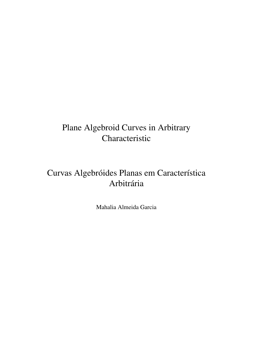## Plane Algebroid Curves in Arbitrary Characteristic

# Curvas Algebróides Planas em Característica Arbitrária

Mahalia Almeida Garcia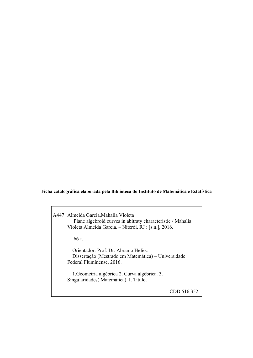#### **Ficha catalográfica elaborada pela Biblioteca do Instituto de Matemática e Estatística**

A447 Almeida Garcia,Mahalia Violeta Plane algebroid curves in abitraty characteristic / Mahalia Violeta Almeida Garcia. – Niterói, RJ : [s.n.], 2016.

66 f.

 Orientador: Prof. Dr. Abramo Hefez. Dissertação (Mestrado em Matemática) – Universidade Federal Fluminense, 2016.

 1.Geometria algébrica 2. Curva algébrica. 3. Singularidades( Matemática). I. Título.

CDD 516.352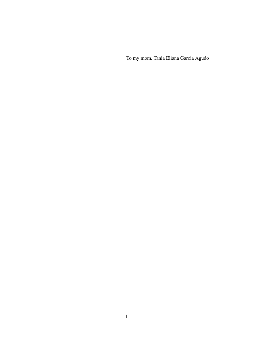To my mom, Tania Eliana Garcia Agudo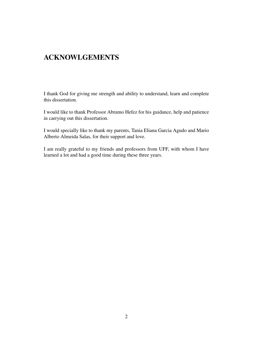### ACKNOWLGEMENTS

I thank God for giving me strength and ability to understand, learn and complete this dissertation.

I would like to thank Professor Abramo Hefez for his guidance, help and patience in carrying out this dissertation.

I would specially like to thank my parents, Tania Eliana Garcia Agudo and Mario Alberto Almeida Salas, for their support and love.

I am really grateful to my friends and professors from UFF, with whom I have learned a lot and had a good time during these three years.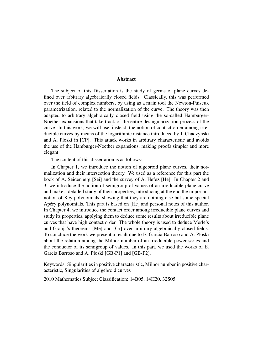#### Abstract

The subject of this Dissertation is the study of germs of plane curves defined over arbitrary algebraically closed fields. Classically, this was performed over the field of complex numbers, by using as a main tool the Newton-Puiseux parametrization, related to the normalization of the curve. The theory was then adapted to arbitrary algebraically closed field using the so-called Hamburger-Noether expansions that take track of the entire desingularization process of the curve. In this work, we will use, instead, the notion of contact order among irreducible curves by means of the logarithmic distance introduced by J. Chadzynski and A. Ploski in [CP]. This attack works in arbitrary characteristic and avoids the use of the Hamburger-Noether expansions, making proofs simpler and more elegant.

The content of this dissertation is as follows:

In Chapter 1, we introduce the notion of algebroid plane curves, their normalization and their intersection theory. We used as a reference for this part the book of A. Seidenberg [Sei] and the survey of A. Hefez [He]. In Chapter 2 and 3, we introduce the notion of semigroup of values of an irreducible plane curve and make a detailed study of their properties, introducing at the end the important notion of Key-polynomials, showing that they are nothing else but some special Apéry polynomials. This part is based on [He] and personal notes of this author. In Chapter 4, we introduce the contact order among irreducible plane curves and study its properties, applying them to deduce some results about irreducible plane curves that have high contact order. The whole theory is used to deduce Merle's and Granja's theorems [Me] and [Gr] over arbitrary algebraically closed fields. To conclude the work we present a result due to E. Garcia Barroso and A. Ploski about the relation among the Milnor number of an irreducible power series and the conductor of its semigroup of values. In this part, we used the works of E. Garcia Barroso and A. Ploski [GB-P1] and [GB-P2].

Keywords: Singularities in positive characteristic, Milnor number in positive characteristic, Singularities of algebroid curves

2010 Mathematics Subject Classification: 14B05, 14H20, 32S05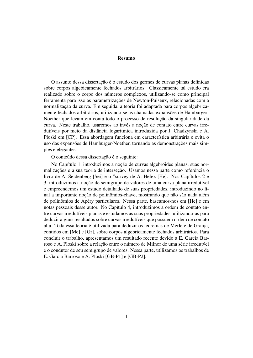#### Resumo

O assunto dessa dissertação é o estudo dos germes de curvas planas definidas sobre corpos algebicamente fechados arbitrários. Classicamente tal estudo era realizado sobre o corpo dos números complexos, utilizando-se como principal ferramenta para isso as parametrizações de Newton-Puiseux, relacionadas com a normalização da curva. Em seguida, a teoria foi adaptada para corpos algebricamente fechados arbitrários, utilizando-se as chamadas expansões de Hamburger-Noether que levam em conta todo o processo de resolução da singularidade da curva. Neste trabalho, usaremos ao invés a noção de contato entre curvas irredutíveis por meio da distância logarítmica introduzida por J. Chadzynski e A. Ploski em [CP]. Essa abordagem funciona em característica arbitrária e evita o uso das expansões de Hamburger-Noether, tornando as demonstrações mais simples e elegantes.

O conteúdo dessa dissertação é o seguinte:

No Capítulo 1, introduzimos a noção de curvas algebróides planas, suas normalizações e a sua teoria de interseção. Usamos nessa parte como referência o livro de A. Seidenberg [Sei] e o "survey de A. Hefez [He]. Nos Capítulos 2 e 3, introduzimos a noção de semigrupo de valores de uma curva plana irredutível e empreendemos um estudo detalhado de suas propriedades, introduzindo no final a importante noção de polinômios-chave, mostrando que não são nada além de polinômios de Apéry particulares. Nessa parte, baseamos-nos em [He] e em notas pessoais desse autor. No Capítulo 4, introduzimos a ordem de contato entre curvas irredutíveis planas e estudamos as suas propriedades, utilizando-as para deduzir alguns resultados sobre curvas irredutíveis que possuem ordem de contato alta. Toda essa teoria e utilizada para deduzir os teoremas de Merle e de Granja, ´ contidos em [Me] e [Gr], sobre corpos algebricamente fechados arbitrários. Para concluir o trabalho, apresentamos um resultado recente devido a E. Garcia Barroso e A. Ploski sobre a relação entre o número de Milnor de uma série irredutvel e o condutor de seu semigrupo de valores. Nessa parte, utilizamos os trabalhos de E. Garcia Barroso e A. Ploski [GB-P1] e [GB-P2].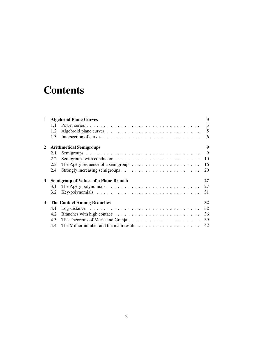# **Contents**

| $\mathbf 1$  | <b>Algebroid Plane Curves</b>                      |                                                                                            |                |  |
|--------------|----------------------------------------------------|--------------------------------------------------------------------------------------------|----------------|--|
|              | $1.1 -$                                            |                                                                                            | $\overline{3}$ |  |
|              | 1.2                                                |                                                                                            | 5              |  |
|              | 1.3                                                |                                                                                            | 6              |  |
| $\mathbf{2}$ | 9<br><b>Arithmetical Semigroups</b>                |                                                                                            |                |  |
|              | 2.1                                                |                                                                                            | 9              |  |
|              | 2.2                                                | 10                                                                                         |                |  |
|              | 2.3                                                | 16<br>The Apéry sequence of a semigroup $\ldots \ldots \ldots \ldots \ldots \ldots \ldots$ |                |  |
|              | 2.4                                                | 20                                                                                         |                |  |
| 3            | <b>Semigroup of Values of a Plane Branch</b><br>27 |                                                                                            |                |  |
|              | 3.1                                                | 27                                                                                         |                |  |
|              | 3.2                                                | 31                                                                                         |                |  |
| 4            | <b>The Contact Among Branches</b><br>32            |                                                                                            |                |  |
|              | 4.1                                                | 32                                                                                         |                |  |
|              | 4.2                                                | 36                                                                                         |                |  |
|              | 4.3                                                | 39                                                                                         |                |  |
|              | 4.4                                                | 42                                                                                         |                |  |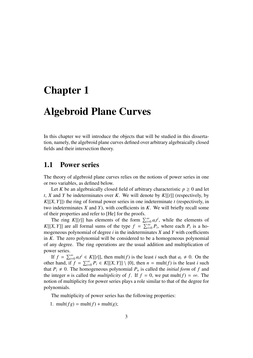### Chapter 1

## Algebroid Plane Curves

In this chapter we will introduce the objects that will be studied in this dissertation, namely, the algebroid plane curves defined over arbitrary algebraically closed fields and their intersection theory.

#### 1.1 Power series

The theory of algebroid plane curves relies on the notions of power series in one or two variables, as defined below.

Let *K* be an algebraically closed field of arbitrary characteristic  $p \ge 0$  and let *<sup>t</sup>*, *<sup>X</sup>* and *<sup>Y</sup>* be indeterminates over *<sup>K</sup>*. We will denote by *<sup>K</sup>*[[*t*]] (respectively, by *<sup>K</sup>*[[*X*, *<sup>Y</sup>*]]) the ring of formal power series in one indeterminate *<sup>t</sup>* (respectively, in two indeterminates *X* and *Y*), with coefficients in *K*. We will briefly recall some of their properties and refer to [He] for the proofs.

The ring K[[t]] has elements of the form  $\sum_{i=0}^{\infty} a_i t^i$ , while the elements of *K*[[*X*, *Y*]] are all formal sums of the type  $f = \sum_{i=0}^{\infty} P_i$ , where each  $P_i$  is a ho-<br>mogeneous polynomial of degree *i* in the indeterminates *Y* and *Y* with coefficients mogeneous polynomial of degree *i* in the indeterminates *X* and *Y* with coefficients in *K*. The zero polynomial will be considered to be a homogeneous polynomial of any degree. The ring operations are the usual addition and multiplication of power series.

If  $f = \sum_{i=0}^{\infty} a_i t^i \in K[[t]]$ , then mult(*f*) is the least *i* such that  $a_i \neq 0$ . On the other hand, if  $f = \sum_{i=0}^{\infty} P_i \in K[[X, Y]] \setminus \{0\}$ , then  $n = \text{mult}(f)$  is the least *i* such that  $P_i \neq 0$ . The homogeneous polynomial  $P_i$  is called the *initial form* of *f* and that  $P_i \neq 0$ . The homogeneous polynomial  $P_n$  is called the *initial form* of f and the integer *n* is called the *multiplicity* of *f*. If  $f = 0$ , we put mult( $f$ ) =  $\infty$ . The notion of multiplicity for power series plays a role similar to that of the degree for polynomials.

The multiplicity of power series has the following properties:

1. mult( $fg$ ) = mult( $f$ ) + mult( $g$ );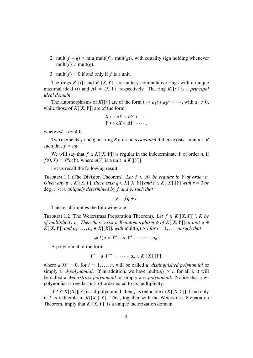- 2. mult( $f + g$ ) ≥ min{mult( $f$ ), mult( $g$ )}, with equality sign holding whenever mult( $f$ )  $\neq$  mult( $g$ ).
- 3. mult( $f$ ) = 0 if and only if  $f$  is a unit.

The rings  $K[[t]]$  and  $K[[X, Y]]$  are unitary commutative rings with a unique maximal ideal  $\langle t \rangle$  and  $\mathcal{M} = \langle X, Y \rangle$ , respectively. The ring *K*[[*t*]] is a *principal ideal domain*.

The automorphisms of *K*[[*t*]] are of the form  $t \mapsto a_1 t + a_2 t^2 + \cdots$ , with  $a_1 \neq 0$ , while those of *<sup>K</sup>*[[*X*, *<sup>Y</sup>*]] are of the form

$$
X \mapsto aX + bY + \cdots
$$

$$
Y \mapsto cX + dY + \cdots,
$$

where  $ad - bc \neq 0$ .

Two elements *f* and *g* in a ring *R* are said *associated* if there exists a unit  $u \in R$ such that  $f = ug$ .

We will say that  $f \in K[[X, Y]]$  is regular in the indeterminate *Y* of order *n*, if *f*(0, *Y*) = *Y*<sup>*n*</sup>*u*(*Y*), where *u*(*Y*) is a unit in *K*[[*Y*]].

Let us recall the following result:

THEOREM 1.1 (The Division Theorem). Let  $f \in M$  be regular in Y of order n. *Given any g*  $\in K[[X, Y]]$  *there exist*  $q \in K[[X, Y]]$  *and*  $r \in K[[X]][Y]$  *with*  $r = 0$  *or* deg*<sup>Y</sup> <sup>r</sup>* < *n, uniquely determined by f and g, such that*

$$
g = fq + r
$$

This result implies the following one:

THEOREM 1.2 (The Weierstrass Preparation Theorem). Let  $f \in K[[X, Y]] \setminus K$  be *of multiplicity n. Then there exist a K-automorphism*  $\phi$  *of K[[X, Y]], a unit u*  $\in$ *K*[[*X*, *Y*]] *and*  $a_1, \ldots, a_n$  ∈ *K*[[*X*]]*, with* mult( $a_i$ ) ≥ *i for i* = 1, . . . , *n*, *such that* 

 $\phi(f)u = Y^n + a_1Y^{n-1} + \cdots + a_n.$ 

A polynomial of the form

$$
Y^{n} + a_{1}Y^{n-1} + \cdots + a_{n} \in K[[X]][Y],
$$

where  $a_i(0) = 0$ , for  $i = 1, \ldots, n$ , will be called a *distinguished polynomial* or simply a *d-polynomial*. If in addition, we have mult $(a_i) \geq i$ , for all *i*, it will be called a *Weierstrass polynomial* or simply a *w-polynomial*. Notice that a wpolynomial is regular in *Y* of order equal to its multiplicity.

If *f* ∈ *K*[[*X*]][*Y*] is a d-polynomial, then *f* is reducible in *K*[[*X*, *Y*]] if and only if *f* is reducible in *K*[[*X*]][*Y*]. This, together with the Weierstrass Preparation Theorem, imply that *<sup>K</sup>*[[*X*, *<sup>Y</sup>*]] is a unique factorization domain.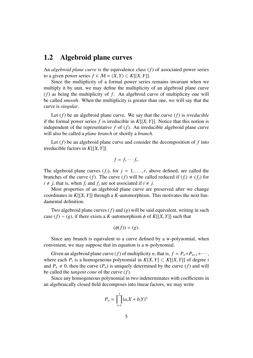### 1.2 Algebroid plane curves

An *algebroid plane curve* is the equivalence class (*f*) of associated power series to a given power series *f* ∈ *M* =  $\langle X, Y \rangle$  ⊂ *K*[[*X*, *Y*]].

Since the multiplicity of a formal power series remains invariant when we multiply it by unit, we may define the multiplicity of an algebroid plane curve (*f*) as being the multiplicity of *f* . An algebroid curve of multiplicity one will be called *smooth*. When the multiplicity is greater than one, we will say that the curve is *singular*.

Let (*f*) be an algebroid plane curve. We say that the curve (*f*) is *irreducible* if the formal power series  $f$  is irreducible in  $K[[X, Y]]$ . Notice that this notion is independent of the representative *f* of (*f*). An irreducible algebroid plane curve will also be called a *plane branch* or shortly a *branch*.

Let  $(f)$  be an algebroid plane curve and consider the decomposition of  $f$  into irreducible factors in *<sup>K</sup>*[[*X*, *<sup>Y</sup>*]]

$$
f=f_1\cdots f_r.
$$

The algebroid plane curves  $(f_i)$ , for  $j = 1, \ldots, r$ , above defined, are called the branches of the curve (*f*). The curve (*f*) will be called reduced if (*f<sub>i</sub>*)  $\neq$  (*f<sub>i</sub>*) for  $i \neq j$ , that is, when  $f_i$  and  $f_j$  are not associated if  $i \neq j$ .

Most properties of an algebroid plane curve are preserved after we change coordinates in  $K[[X, Y]]$  through a  $K$ -automorphism. This motivates the next fundamental definition.

Two algebroid plane curves (*f*) and (*g*) will be said equivalent, writing in such case  $(f) \sim (g)$ , if there exists a *K*-automorphism  $\phi$  of *K*[[*X*, *Y*]] such that

$$
(\phi(f))=(g).
$$

Since any branch is equivalent to a curve defined by a w-polynomial, when convenient, we may suppose that its equation is a w-polynomial.

Given an algebroid plane curve (*f*) of multiplicity *n*, that is,  $f = P_n + P_{n+1} + \cdots$ , where each  $P_i$  is a homogeneous polynomial in  $K[X, Y] \subset K[[X, Y]]$  of degree *i* and  $P \neq 0$  then the curve  $(P_i)$  is uniquely determined by the curve  $(f)$  and will and  $P_n \neq 0$ , then the curve  $(P_n)$  is uniquely determined by the curve  $(f)$  and will be called the *tangent cone* of the curve (*f*).

Since any homogeneous polynomial in two indeterminates with coefficients in an algebraically closed field decomposes into linear factors, we may write

$$
P_n = \prod_{i=1}^s (a_i X + b_i Y)^{r_i}
$$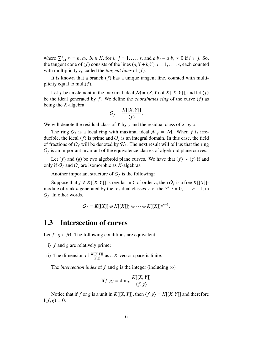where  $\sum_{i=1}^{s} r_i = n$ ,  $a_i$ ,  $b_i \in K$ , for  $i, j = 1, ..., s$ , and  $a_i b_j - a_j b_i \neq 0$  if  $i \neq j$ . So, the tangent cone of  $(f)$  consists of the lines  $(a, X + b, Y)$ ,  $i = 1$ , see each counted the tangent cone of (*f*) consists of the lines  $(a_iX + b_iY)$ ,  $i = 1, \ldots, s$ , each counted with multiplicity *r<sup>i</sup>* , called the *tangent lines* of (*f*).

It is known that a branch (*f*) has a unique tangent line, counted with multiplicity equal to mult(*f*).

Let *f* be an element in the maximal ideal  $M = \langle X, Y \rangle$  of  $K[[X, Y]]$ , and let  $\langle f \rangle$ be the ideal generated by *f* . We define the *coordinates ring* of the curve (*f*) as being the *K*-algebra

$$
O_f = \frac{K[[X, Y]]}{\langle f \rangle}.
$$

We will denote the residual class of *Y* by *y* and the residual class of *X* by *x*.

The ring  $O_f$  is a local ring with maximal ideal  $M_f = M$ . When f is irreducible, the ideal  $\langle f \rangle$  is prime and  $O_f$  is an integral domain. In this case, the field of fractions of  $O_f$  will be denoted by  $\mathcal{K}_f$ . The next result will tell us that the ring  $O_f$  is an important invariant of the equivalence classes of algebroid plane curves.

Let (*f*) and (*g*) be two algebroid plane curves. We have that (*f*) ~ (*g*) if and only if  $O_f$  and  $O_g$  are isomorphic as *K*-algebras.

Another important structure of  $O_f$  is the following:

Suppose that *f* ∈ *K*[[*X*, *Y*]] is regular in *Y* of order *n*, then  $O_f$  is a free *K*[[*X*]]-<br>dule of rank *n* generated by the residual classes  $y^i$  of the  $Y^i$  *i* = 0 = *n* = 1 in module of rank *n* generated by the residual classes  $y^i$  of the  $Y^i$ ,  $i = 0, ..., n - 1$ , in  $Q_i$ . In other words  $O_f$ . In other words,

$$
O_f = K[[X]] \oplus K[[X]]y \oplus \cdots \oplus K[[X]]y^{n-1}.
$$

### 1.3 Intersection of curves

Let  $f, g \in M$ . The following conditions are equivalent:

- i) *f* and *g* are relatively prime;
- ii) The dimension of  $\frac{K[[X,Y]]}{\langle f, g \rangle}$  $\frac{[(X,Y)]}{(f,g)}$  as a *K*-vector space is finite.

The *intersection index* of f and g is the integer (including  $\infty$ )

$$
I(f, g) = \dim_K \frac{K[[X, Y]]}{\langle f, g \rangle}
$$

Notice that if *f* or *g* is a unit in *K*[[*X*, *Y*]], then  $\langle f, g \rangle = K[[X, Y]]$  and therefore  $I(f, g) = 0.$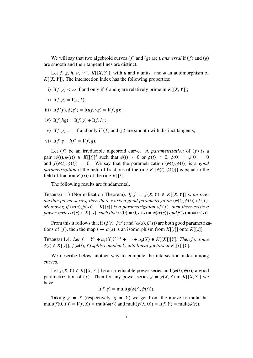We will say that two algebroid curves (*f*) and (*g*) are *transversal* if (*f*) and (*g*) are smooth and their tangent lines are distinct.

Let *f*, *g*, *h*, *u*,  $v \in K[[X, Y]],$  with *u* and *v* units. and  $\phi$  an automorphism of  $K[[X, Y]]$ . The intersection index has the following properties:

- i) I( $f, g$ ) <  $\infty$  if and only if  $f$  and  $g$  are relatively prime in  $K[[X, Y]]$ ;
- ii)  $I(f, g) = I(g, f);$
- iii)  $I(\phi(f), \phi(g)) = I(u f, v g) = I(f, g);$
- iv)  $I(f, hg) = I(f, g) + I(f, h)$ ;
- v)  $I(f, g) = 1$  if and only if  $(f)$  and  $(g)$  are smooth with distinct tangents;
- vi)  $I(f, g hf) = I(f, g)$ .

Let (*f*) be an irreducible algebroid curve. A *parametrization* of (*f*) is a pair  $(\phi(t), \psi(t)) \in K[[t]]^2$  such that  $\phi(t) \neq 0$  or  $\psi(t) \neq 0$ ,  $\phi(0) = \psi(0) = 0$ <br>and  $f(\phi(t), \psi(t)) = 0$ . We say that the parametrization  $(\phi(t), \psi(t))$  is a good and  $f(\phi(t), \psi(t)) = 0$ . We say that the parametrization  $(\phi(t), \psi(t))$  is a *good parametrization* if the field of fractions of the ring  $K[[\phi(t), \psi(t)]]$  is equal to the field of fraction  $K((t))$  of the ring  $K[[t]]$ .

The following results are fundamental.

THEOREM 1.3 (Normalization Theorem). *If*  $f = f(X, Y) \in K[[X, Y]]$  *is an irreducible power series, then there exists a good parametrization*  $(\phi(t), \psi(t))$  *of*  $(f)$ *. Moreover, if*  $(\alpha(s), \beta(s)) \in K[[s]]$  *is a parametrization of* (*f*)*, then there exists a power series*  $\sigma(s) \in K[[s]]$  *such that*  $\sigma(0) = 0$ ,  $\alpha(s) = \phi(\sigma(s))$  *and*  $\beta(s) = \psi(\sigma(s))$ *.* 

From this it follows that if  $(\phi(t), \psi(t))$  and  $(\alpha(s), \beta(s))$  are both good parametrizations of (*f*), then the map  $t \mapsto \sigma(s)$  is an isomorphism from *K*[[*t*]] onto *K*[[*s*]].

THEOREM 1.4. *Let*  $f = Y^d + a_1(X)Y^{d-1} + \cdots + a_0(X) \in K[[X]][Y]$ *. Then for some*  $\phi(t) \in K[[t]]$ ,  $f(\phi(t), Y)$  *splits completely into linear factors in*  $K[[t]][Y]$ .

We describe below another way to compute the intersection index among curves.

Let  $f(X, Y) \in K[[X, Y]]$  be an irreducible power series and  $(\phi(t), \psi(t))$  a good parametrization of (*f*). Then for any power series  $g = g(X, Y)$  in  $K[[X, Y]]$  we have

$$
I(f, g) = mult(g(\phi(t), \psi(t))).
$$

Taking  $g = X$  (respectively,  $g = Y$ ) we get from the above formula that mult( $f(0, Y)$ ) = I( $f, X$ ) = mult( $\phi(t)$ ) and mult( $f(X, 0)$ ) = I( $f, Y$ ) = mult( $\psi(t)$ ).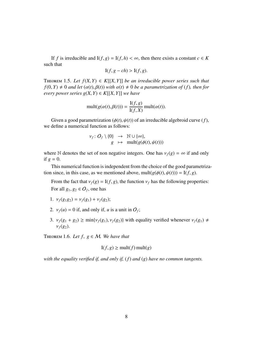If *f* is irreducible and  $I(f, g) = I(f, h) < \infty$ , then there exists a constant  $c \in K$ such that

$$
I(f, g - ch) > I(f, g).
$$

THEOREM 1.5. Let  $f(X, Y) \in K[[X, Y]]$  be an irreducible power series such that  $f(0, Y) \neq 0$  *and let*  $(\alpha(t), \beta(t))$  *with*  $\alpha(t) \neq 0$  *be a parametrization of* (*f*)*, then for every power series*  $g(X, Y) \in K[[X, Y]]$  *we have* 

$$
\text{mult}(g(\alpha(t), \beta(t))) = \frac{\text{I}(f, g)}{\text{I}(f, X)} \text{mult}(\alpha(t)).
$$

Given a good parametrization  $(\phi(t), \psi(t))$  of an irreducible algebroid curve  $(f)$ , we define a numerical function as follows:

$$
\nu_f \colon O_f \setminus \{0\} \rightarrow \mathbb{N} \cup \{\infty\},\newline g \mapsto \text{mult}(g(\phi(t), \psi(t)))
$$

where N denotes the set of non negative integers. One has  $v_f(g) = \infty$  if and only if  $g = 0$ .

This numerical function is independent from the choice of the good parametrization since, in this case, as we mentioned above, mult $(g(\phi(t), \psi(t))) = I(f, g)$ .

From the fact that  $v_f(g) = I(f, g)$ , the function  $v_f$  has the following properties: For all  $g_1, g_2 \in O_f$ , one has

- 1.  $v_f(g_1g_2) = v_f(g_1) + v_f(g_2);$
- 2.  $v_f(u) = 0$  if, and only if, *u* is a unit in  $O_f$ ;
- 3.  $v_f(g_1 + g_2) \ge \min\{v_f(g_1), v_f(g_2)\}\$  with equality verified whenever  $v_f(g_1) \ne$  $v_f(g_2)$ .

THEOREM 1.6. Let  $f, g \in M$ . We have that

$$
I(f, g) \ge \text{mult}(f) \,\text{mult}(g)
$$

*with the equality verified if, and only if,* (*f*) *and* (*g*) *have no common tangents.*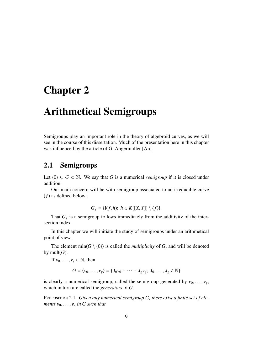## Chapter 2

# Arithmetical Semigroups

Semigroups play an important role in the theory of algebroid curves, as we will see in the course of this dissertation. Much of the presentation here in this chapter was influenced by the article of G. Angermuller [An].

### 2.1 Semigroups

Let  ${0}$  ⊆ *G* ⊂ N. We say that *G* is a numerical *semigroup* if it is closed under addition.

Our main concern will be with semigroup associated to an irreducible curve (*f*) as defined below:

$$
G_f = \{I(f, h); h \in K[[X, Y]] \setminus \langle f \rangle\}.
$$

That  $G_f$  is a semigroup follows immediately from the additivity of the intersection index.

In this chapter we will initiate the study of semigroups under an arithmetical point of view.

The element min( $G \setminus \{0\}$ ) is called the *multiplicity* of G, and will be denoted by mult $(G)$ .

If  $v_0, \ldots, v_g \in \mathbb{N}$ , then

$$
G = \langle v_0, \dots, v_g \rangle = \{ \lambda_0 v_0 + \dots + \lambda_g v_g; \lambda_0, \dots, \lambda_g \in \mathbb{N} \}
$$

is clearly a numerical semigroup, called the semigroup generated by  $v_0, \ldots, v_g$ , which in turn are called the *generators* of *G*.

PROPOSITION 2.1. *Given any numerical semigroup G, there exist a finite set of elements*  $v_0, \ldots, v_g$  *in G such that*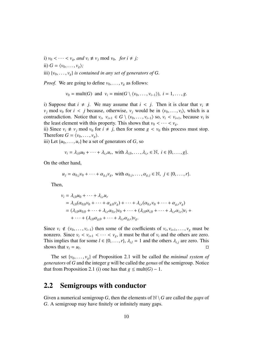i)  $v_0 < \cdots < v_g$ , and  $v_i \not\equiv v_j \mod v_0$ , for  $i \neq j$ ;

ii)  $G = \langle v_0, \ldots, v_g \rangle;$ 

iii)  $\{v_0, \ldots, v_g\}$  *is contained in any set of generators of G.* 

*Proof.* We are going to define  $v_0, \ldots, v_g$  as follows:

*v*<sub>0</sub> = mult(*G*) and *v*<sub>*i*</sub> = min(*G* \  $\langle v_0, \ldots, v_{i-1} \rangle$ ), *i* = 1, . . . , *g*.

i) Suppose that  $i \neq j$ . We may assume that  $i < j$ . Then it is clear that  $v_i \neq j$ . *v<sub>i</sub>* mod *v*<sub>0</sub> for *i* < *j* because, otherwise, *v<sub>i</sub>* would be in  $\langle v_0, \ldots, v_i \rangle$ , which is a contradiction. Notice that  $v_i$ ,  $v_{i+1} \in G \setminus \langle v_0, \ldots, v_{i-1} \rangle$  so,  $v_i \le v_{i+1}$ , because  $v_i$  is the least element with this property. This shows that  $v_i \le v_i \le v$ the least element with this property. This shows that  $v_0 < \cdots < v_g$ .

ii) Since  $v_i \neq v_j \mod v_0$  for  $i \neq j$ , then for some  $g < v_0$  this process must stop. Therefore  $G = \langle v_0, \ldots, v_g \rangle$ .

iii) Let  $\{u_0, \ldots, u_r\}$  be a set of generators of *G*, so

$$
v_i = \lambda_{i,0} u_0 + \dots + \lambda_{i,r} u_r
$$
, with  $\lambda_{i,0}, \dots, \lambda_{i,r} \in \mathbb{N}$ ,  $i \in \{0, \dots, g\}$ .

On the other hand,

$$
u_j = \alpha_{0,j}v_0 + \cdots + \alpha_{g,j}v_g, \text{ with } \alpha_{0,j}, \ldots, \alpha_{g,j} \in \mathbb{N}, \ j \in \{0, \ldots, r\}.
$$

Then,

$$
v_i = \lambda_{i,0} u_0 + \dots + \lambda_{i,r} u_r
$$
  
=  $\lambda_{i,0} (\alpha_{0,0} v_0 + \dots + \alpha_{g,0} v_g) + \dots + \lambda_{i,r} (\alpha_{0,r} v_0 + \dots + \alpha_{g,r} v_g)$   
=  $(\lambda_{i,0} \alpha_{0,0} + \dots + \lambda_{i,r} \alpha_{0,r}) v_0 + \dots + (\lambda_{i,0} \alpha_{i,0} + \dots + \lambda_{i,r} \alpha_{i,r}) v_i + \dots + (\lambda_{i,0} \alpha_{g,0} + \dots + \lambda_{i,r} \alpha_{g,r}) v_g.$ 

Since  $v_i \notin \langle v_0, \ldots, v_{i-1} \rangle$  then some of the coefficients of  $v_i, v_{i+1}, \ldots, v_g$  must be pop serior. nonzero. Since  $v_i < v_{i+1} < \cdots < v_g$ , it must be that of  $v_i$  and the others are zero. This implies that for some  $l \in \{0, ..., r\}$ ,  $\lambda_{i,l} = 1$  and the others  $\lambda_{i,j}$  are zero. This shows that  $v_i = u_i$ . shows that  $v_i = u_i$ . . В последните пример, на селото на селото на селото на селото на селото на селото на селото на селото на село<br>Селото на селото на селото на селото на селото на селото на селото на селото на селото на селото на селото на

The set  $\{v_0, \ldots, v_g\}$  of Proposition 2.1 will be called the *minimal system of generators* of *G* and the integer *g* will be called the *genus* of the semigroup. Notice that from Proposition 2.1 (i) one has that  $g \le \text{mult}(G) - 1$ .

#### 2.2 Semigroups with conductor

Given a numerical semigroup *G*, then the elements of  $\mathbb{N} \setminus G$  are called the *gaps* of *G*. A semigroup may have finitely or infinitely many gaps.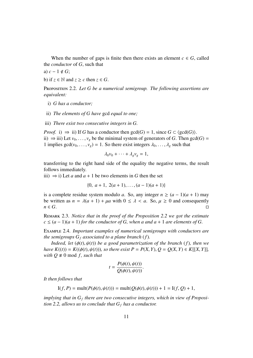When the number of gaps is finite then there exists an element  $c \in G$ , called the *conductor* of *G*, such that

a) 
$$
c - 1 \notin G
$$
;

b) if  $z \in \mathbb{N}$  and  $z \geq c$  then  $z \in G$ .

Proposition 2.2. *Let G be a numerical semigroup. The following assertions are equivalent:*

- i) *G has a conductor;*
- ii) *The elements of G have* gcd *equal to one;*
- iii) *There exist two consecutive integers in G.*

*Proof.* i)  $\Rightarrow$  ii) If *G* has a conductor then  $gcd(G) = 1$ , since  $G \subset (gcd(G))$ . ii)  $\Rightarrow$  iii) Let *v*<sub>0</sub>, . . . , *v*<sub>*g*</sub> be the minimal system of generators of *G*. Then gcd(*G*) = 1 implies  $gcd(v_0, \ldots, v_g) = 1$ . So there exist integers  $\lambda_0, \ldots, \lambda_g$  such that

$$
\lambda_0v_0+\cdots+\lambda_gv_g=1,
$$

transferring to the right hand side of the equality the negative terms, the result follows immediately.

iii)  $\Rightarrow$  i) Let *a* and *a* + 1 be two elements in *G* then the set

$$
\{0, a+1, 2(a+1), \ldots, (a-1)(a+1)\}\
$$

is a complete residue system modulo *a*. So, any integer  $n \ge (a - 1)(a + 1)$  may be written as  $n = \lambda(a + 1) + \mu a$  with  $0 \le \lambda < a$ . So,  $\mu \ge 0$  and consequently  $n \in G$ . *n* ∈ *G*.

Remark 2.3. *Notice that in the proof of the Proposition 2.2 we got the estimate*  $c \leq (a-1)(a+1)$  *for the conductor of G, when a and a* + 1 *are elements of G.* 

Example 2.4. *Important examples of numerical semigroups with conductors are the semigroups*  $G_f$  *associated to a plane branch* (*f*).

*Indeed, let* (φ(*t*), ψ(*t*)) *be a good parametrization of the branch* (*f*)*, then we have*  $K((t)) = K((\phi(t), \psi(t)))$ *, so there exist*  $P = P(X, Y), Q = Q(X, Y) \in K[[X, Y]],$ *with*  $Q \neq 0$  mod *f*, *such that* 

$$
t = \frac{P(\phi(t), \psi(t))}{Q(\phi(t), \psi(t))}.
$$

*It then follows that*

$$
I(f, P) = mult(P(\phi(t), \psi(t))) = mult(Q(\phi(t), \psi(t))) + 1 = I(f, Q) + 1,
$$

implying that in  $G_f$  there are two consecutive integers, which in view of Proposi*tion 2.2, allows us to conclude that*  $G_f$  *has a conductor.*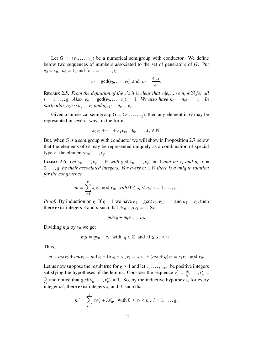Let  $G = \langle v_0, \ldots, v_g \rangle$  be a numerical semigroup with conductor. We define below two sequences of numbers associated to the set of generators of *G*. Put  $e_0 = v_0$ ,  $n_0 = 1$ , and for  $i = 1, ..., g$ ,

$$
e_i = \gcd(v_0, \dots, v_i)
$$
 and  $n_i = \frac{e_{i-1}}{e_i}$ 

REMARK 2.5. *From the definition of the e'<sub>i</sub>*s it is clear that  $e_i|e_{i-1}$ , so  $n_i \in \mathbb{N}$  for all  $i = 1, \ldots, g$ . Also,  $e_g = \gcd(v_0, \ldots, v_g) = 1$ . We also have  $n_0 \cdots n_i e_i = v_0$ . In *particular,*  $n_0 \cdots n_g = v_0$  *and*  $n_{i+1} \cdots n_g = e_i$ .

Given a numerical semigroup  $G = \langle v_0, \ldots, v_g \rangle$ , then any element in *G* may be represented in several ways in the form

$$
\lambda_0 v_0 + \cdots + \lambda_g v_g, \ \lambda_0, \ldots, \lambda_g \in \mathbb{N}.
$$

But, when *G* is a semigroup with conductor we will show in Proposition 2.7 below that the elements of *G* may be represented uniquely as a combination of special type of the elements  $v_0, \ldots, v_g$ .

LEMMA 2.6. Let  $v_0, \ldots, v_g \in \mathbb{N}$  with  $gcd(v_0, \ldots, v_g) = 1$  and let  $e_i$  and  $n_i$ ,  $i = 0$ <br> *g* be their associated integers. For every  $m \in \mathbb{N}$  there is a unique solution <sup>0</sup>, . . . , *g, be their associated integers. For every m* <sup>∈</sup> <sup>N</sup> *there is a unique solution for the congruence*

$$
m \equiv \sum_{i=1}^{g} s_i v_i \mod v_0
$$
, with  $0 \le s_i < n_i$ ,  $i = 1, ..., g$ .

*Proof.* By induction on *g*. If  $g = 1$  we have  $e_1 = \gcd(v_0, v_1) = 1$  and  $n_1 = v_0$ , then there exist integers  $\lambda$  and  $\mu$  such that  $\lambda v_0 + \mu v_1 = 1$ . So,

$$
m\lambda v_0 + m\mu v_1 = m.
$$

Dividing  $m\mu$  by  $v_0$  we get

$$
m\mu = qv_0 + s_1 \text{ with } q \in \mathbb{Z} \text{ and } 0 \le s_1 < v_0.
$$

Thus,

$$
m = m\lambda v_0 + m\mu v_1 = m\lambda v_0 + (qv_0 + s_1)v_1 = s_1v_1 + (m\lambda + q)v_0 \equiv s_1v_1 \bmod v_0.
$$

Let us now suppose the result true for  $g \ge 1$  and let  $v_0, \ldots, v_{g+1}$  be positive integers satisfying the hypotheses of the lemma. Consider the sequence  $v'_0 = \frac{v_0}{e_g}$  $\frac{v_0}{e_g}, \ldots, v'_g =$ *vg*  $\frac{v_g}{e_g}$  and notice that gcd( $v'_0$  $(v'_0, \ldots, v'_g) = 1$ . So, by the inductive hypothesis, for every integer *m'*, there exist integers  $s_i$  and  $\lambda$ , such that

$$
m' = \sum_{i=1}^{g} s_i v'_i + \lambda v'_0, \text{ with } 0 \le s_i < n'_i, \ i = 1, \dots, g,
$$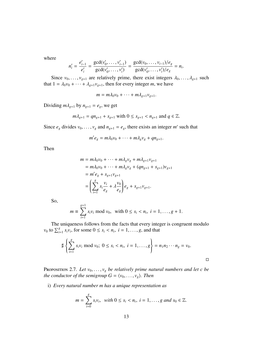where

$$
n'_{i} = \frac{e'_{i-1}}{e'_{i}} = \frac{\gcd(v'_{0}, \dots, v'_{i-1})}{\gcd(v'_{0}, \dots, v'_{i})} = \frac{\gcd(v_{0}, \dots, v_{i-1})/e_{g}}{\gcd(v'_{0}, \dots, v'_{i})/e_{g}} = n_{i}.
$$

Since  $v_0, \ldots, v_{g+1}$  are relatively prime, there exist integers  $\lambda_0, \ldots, \lambda_{g+1}$  such  $1 - \lambda_0 v_0 + \cdots + \lambda_{g+1} v_{g+1}$  then for every integer *m*, we have that  $1 = \lambda_0 v_0 + \cdots + \lambda_{g+1} v_{g+1}$ , then for every integer *m*, we have

$$
m = m\lambda_0v_0 + \cdots + m\lambda_{g+1}v_{g+1}.
$$

Dividing  $m\lambda_{g+1}$  by  $n_{g+1} = e_g$ , we get

$$
m\lambda_{g+1} = qn_{g+1} + s_{g+1} \text{ with } 0 \le s_{g+1} < n_{g+1} \text{ and } q \in \mathbb{Z}.
$$

Since  $e_g$  divides  $v_0, \ldots, v_g$  and  $n_{g+1} = e_g$ , there exists an integer *m'* such that

$$
m'e_g = m\lambda_0v_0 + \cdots + m\lambda_gv_g + qn_{g+1}.
$$

Then

$$
m = m\lambda_0 v_0 + \dots + m\lambda_g v_g + m\lambda_{g+1} v_{g+1}
$$
  
=  $m\lambda_0 v_0 + \dots + m\lambda_g v_g + (qn_{g+1} + s_{g+1})v_{g+1}$   
=  $m' e_g + s_{g+1} v_{g+1}$   
=  $\left(\sum_{i=1}^g s_i \frac{v_i}{e_g} + \lambda \frac{v_0}{e_g}\right) e_g + s_{g+1} v_{g+1}.$ 

So,

$$
m \equiv \sum_{i=1}^{g+1} s_i v_i \bmod v_0, \text{ with } 0 \le s_i < n_i, \ i = 1, \dots, g+1.
$$

The uniqueness follows from the facts that every integer is congruent modulo  $v_0$  to  $\sum_{i=1}^g s_i v_i$ , for some  $0 \le s_i < n_i$ ,  $i = 1, \ldots, g$ , and that

$$
\sharp \left\{ \sum_{i=1}^g s_i v_i \bmod v_0; \ 0 \le s_i < n_i, \ i = 1, \dots, g \right\} = n_1 n_2 \cdots n_g = v_0.
$$

PROPOSITION 2.7. Let  $v_0, \ldots, v_g$  *be relatively prime natural numbers and let c be the conductor of the semigroup*  $G = \langle v_0, \ldots, v_g \rangle$ *. Then* 

i) *Every natural number m has a unique representation as*

$$
m=\sum_{i=0}^g s_i v_i, \text{ with } 0\leq s_i < n_i, \text{ } i=1,\ldots,g \text{ and } s_0 \in \mathbb{Z}.
$$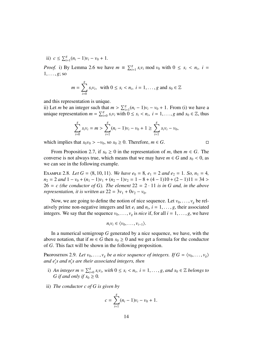ii)  $c \le \sum_{i=1}^{g} (n_i - 1)v_i - v_0 + 1$ .

*Proof.* i) By Lemma 2.6 we have  $m \equiv \sum_{i=1}^{g} s_i v_i \mod v_0$  with  $0 \le s_i < n_i$ ,  $i = 1$  $1, \ldots, g$ ; so

$$
m = \sum_{i=0}^{g} s_i v_i, \text{ with } 0 \le s_i < n_i, \ i = 1, \dots, g \text{ and } s_0 \in \mathbb{Z}
$$

and this representation is unique.

ii) Let *m* be an integer such that  $m > \sum_{i=1}^{g} (n_i - 1)v_i - v_0 + 1$ . From (i) we have a unique representation  $m = \sum_{i=1}^{g} (n_i - 1)v_i < g_i < n$ ,  $i = 1$  and  $g_i \in \mathbb{Z}$  thus unique representation  $m = \sum_{i=0}^{g} s_i v_i$  with  $0 \le s_i < n_i$ ,  $i = 1, ..., g$  and  $s_0 \in \mathbb{Z}$ , thus

$$
\sum_{i=0}^{g} s_i v_i = m > \sum_{i=1}^{g} (n_i - 1)v_i - v_0 + 1 \ge \sum_{i=1}^{g} s_i v_i - v_0,
$$

which implies that  $s_0v_0 > -v_0$ , so  $s_0 \ge 0$ . Therefore,  $m \in G$ .

From Proposition 2.7, if  $s_0 \geq 0$  in the representation of *m*, then  $m \in G$ . The converse is not always true, which means that we may have  $m \in G$  and  $s_0 < 0$ , as we can see in the following example.

EXAMPLE 2.8. Let  $G = \langle 8, 10, 11 \rangle$ . We have  $e_0 = 8$ ,  $e_1 = 2$  and  $e_2 = 1$ . So,  $n_1 = 4$ ,  $n_2 = 2$  *and*  $1 - v_0 + (n_1 - 1)v_1 + (n_2 - 1)v_2 = 1 - 8 + (4 - 1)10 + (2 - 1)11 = 34$  $26 = c$  (the conductor of G). The element  $22 = 2 \cdot 11$  *is in G and, in the above representation, it is written as*  $22 = 3v_1 + 0v_2 - v_0$ .

Now, we are going to define the notion of nice sequence. Let  $v_0, \ldots, v_g$  be relatively prime non-negative integers and let  $e_i$  and  $n_i$ ,  $i = 1, ..., g$ , their associated<br>integers. We say that the sequence  $v_0$ ,  $y_i$  is *nice* if for all  $i - 1$ , as we have integers. We say that the sequence  $v_0, \ldots, v_g$  is *nice* if, for all  $i = 1, \ldots, g$ , we have

$$
n_iv_i\in\langle v_0,\ldots,v_{i-1}\rangle.
$$

In a numerical semigroup *G* generated by a nice sequence, we have, with the above notation, that if  $m \in G$  then  $s_0 \ge 0$  and we get a formula for the conductor of *G*. This fact will be shown in the following proposition.

Proposition 2.9. Let  $v_0, \ldots, v_g$  be a nice sequence of integers. If  $G = \langle v_0, \ldots, v_g \rangle$ *and e*<sup>*i*</sup>s and n<sup>*i*</sup><sub>*i*</sub>s are their associated integers, then

- i) *An integer m* =  $\sum_{i=0}^{g} s_i v_i$ , *with*  $0 \le s_i < n_i$ ,  $i = 1, ..., g$ , *and*  $s_0 \in \mathbb{Z}$  *belongs to G* if and only if  $s_0 \ge 0$ *G* if and only if  $s_0 \geq 0$ .
- ii) *The conductor c of G is given by*

$$
c = \sum_{i=1}^{g} (n_i - 1)v_i - v_0 + 1.
$$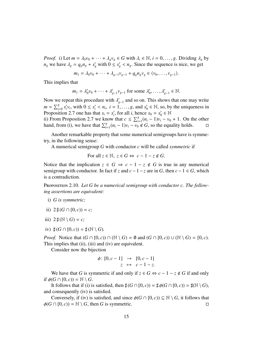*Proof.* i) Let  $m = \lambda_0 v_0 + \cdots + \lambda_g v_g \in G$  with  $\lambda_i \in \mathbb{N}$ ,  $i = 0, \ldots, g$ . Dividing  $\lambda_g$  by *n<sub>g</sub>* we have  $\lambda_g = q_g n_g + s'_g$  with  $0 \le s'_g < n_g$ . Since the sequence is nice, we get

$$
m_1 = \lambda_0 v_0 + \dots + \lambda_{g-1} v_{g-1} + q_g n_g v_g \in \langle v_0, \dots, v_{g-1} \rangle.
$$

This implies that

$$
m_1 = \lambda'_0 v_0 + \dots + \lambda'_{g-1} v_{g-1}
$$
 for some  $\lambda'_0, \dots, \lambda'_{g-1} \in \mathbb{N}$ .

Now we repeat this procedure with  $\lambda_{g}^{\prime}$ <br> $m = \nabla_{g}^{g}$  s'w with  $0 \leq s' \leq n, i = 1$ *g*−1 and so on. This shows that one may write  $m = \sum_{i=0}^{g} s'_i$  $i_i'v_i$ , with  $0 \le s_i' < n_i$ ,  $i = 1, \ldots, g$ , and  $s_0'$ <br>
2.2.7 one has that  $s_i - s'_i$  for all *i* hence  $v'_0 \in \mathbb{N}$ , so, by the uniqueness in Proposition 2.7 one has that  $s_i = s'_i$  $s_i'$ , for all *i*, hence  $s_0 = s_0'$  $y'_0 \in \mathbb{N}$ 

ii) From Proposition 2.7 we know that  $c \le \sum_{i=1}^{g} (n_i - 1)v_i - v_0 + 1$ . On the other hand, from (i), we have that  $\sum_{i=1}^{g} (n_i - 1)v_i - v_0 \notin G$ , so the equality holds.  $□$ 

Another remarkable property that some numerical semigroups have is symmetry, in the following sense:

A numerical semigroup *G* with conductor *c* will be called *symmetric* if

For all  $z \in \mathbb{N}$ ,  $z \in G \Leftrightarrow c - 1 - z \notin G$ .

Notice that the implication  $z \in G \Rightarrow c - 1 - z \notin G$  is true in any numerical semigroup with conductor. In fact if *z* and  $c-1-z$  are in *G*, then  $c-1 \in G$ , which is a contradiction.

Proposition 2.10. *Let G be a numerical semigroup with conductor c. The following assertions are equivalent:*

- i) *G is symmetric;*
- ii)  $2 \sharp (G \cap [0, c)) = c$ ;
- iii)  $2 \sharp (\mathbb{N} \setminus G) = c$ ;
- iv)  $\sharp(G \cap [0, c)) = \sharp(\mathbb{N} \setminus G)$ .

*Proof.* Notice that  $(G \cap [0, c)) \cap (\mathbb{N} \setminus G) = \emptyset$  and  $(G \cap [0, c)) \cup (\mathbb{N} \setminus G) = [0, c)$ . This implies that (ii), (iii) and (iv) are equivalent.

Consider now the bijection

$$
\begin{array}{rcl} \phi \colon [0, c-1] & \to & [0, c-1] \\ z & \mapsto & c-1-z. \end{array}
$$

We have that *G* is symmetric if and only if  $z \in G \Leftrightarrow c - 1 - z \notin G$  if and only if  $\phi(G \cap [0, c)) = \mathbb{N} \setminus G$ .

It follows that if (i) is satisfied, then  $\sharp(G \cap [0, c)) = \sharp \phi(G \cap [0, c)) = \sharp(\mathbb{N} \setminus G)$ , and consequently (iv) is satisfied.

Conversely, if (iv) is satisfied, and since  $\phi(G \cap [0, c)) \subseteq \mathbb{N} \setminus G$ , it follows that  $\phi(0, c) = \mathbb{N} \setminus G$ , then G is symmetric.  $\phi(G \cap [0, c)) = \mathbb{N} \setminus G$ , then *G* is symmetric.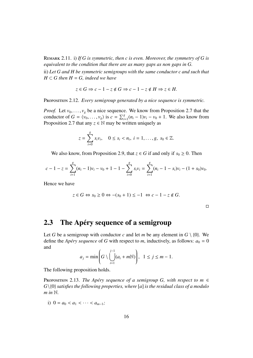Remark 2.11. i) *If G is symmetric, then c is even. Moreover, the symmetry of G is equivalent to the condition that there are as many gaps as non gaps in G.*

ii) *Let G and H be symmetric semigroups with the same conductor c and such that*  $H \subset G$  then  $H = G$ , indeed we have

$$
z \in G \Rightarrow c - 1 - z \notin G \Rightarrow c - 1 - z \notin H \Rightarrow z \in H.
$$

PROPOSITION 2.12. *Every semigroup generated by a nice sequence is symmetric.* 

*Proof.* Let  $v_0, \ldots, v_g$  be a nice sequence. We know from Proposition 2.7 that the conductor of  $G = \langle v_0, \ldots, v_g \rangle$  is  $c = \sum_{i=1}^g (n_i - 1)v_i - v_0 + 1$ . We also know from<br>Proposition 2.7 that any  $z \in \mathbb{N}$  may be written uniquely as Proposition 2.7 that any  $z \in \mathbb{N}$  may be written uniquely as

$$
z = \sum_{i=0}^{g} s_i v_i, \quad 0 \le s_i < n_i, \ i = 1, \dots, g, \ s_0 \in \mathbb{Z}.
$$

We also know, from Proposition 2.9, that  $z \in G$  if and only if  $s_0 \ge 0$ . Then

$$
c-1-z=\sum_{i=1}^g(n_i-1)v_i-v_0+1-1-\sum_{i=0}^g s_iv_i=\sum_{i=1}^g(n_i-1-s_i)v_i-(1+s_0)v_0.
$$

Hence we have

$$
z \in G \Leftrightarrow s_0 \ge 0 \Leftrightarrow -(s_0 + 1) \le -1 \Leftrightarrow c - 1 - z \notin G.
$$

 $\Box$ 

### 2.3 The Apéry sequence of a semigroup

Let *G* be a semigroup with conductor *c* and let *m* be any element in  $G \setminus \{0\}$ . We define the *Apéry sequence* of *G* with respect to *m*, inductively, as follows:  $a_0 = 0$ and

$$
a_j = \min\left(G \setminus \bigcup_{i=1}^{j-1} (a_i + m\mathbb{N})\right), \quad 1 \le j \le m-1.
$$

The following proposition holds.

**PROPOSITION** 2.13. *The Apéry sequence of a semigroup G, with respect to m*  $\in$ *G*\{0} *satisfies the following properties, where* [*a*] *is the residual class of a modulo*  $m$  *in*  $\mathbb{N}$ .

i)  $0 = a_0 < a_1 < \cdots < a_{m-1}$ ;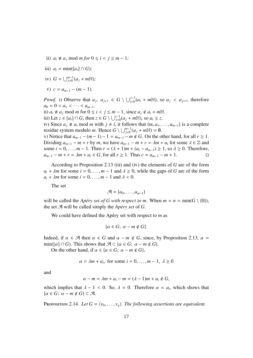- ii)  $a_i \neq a_j \mod m$  *for*  $0 \leq i < j \leq m 1$ ;
- iii)  $a_i = \min([a_i] \cap G)$ ;
- iv)  $G = \bigcup_{j=0}^{m-1} (a_j + m\mathbb{N})$ ;
- *v*)  $c = a_{m-1} (m-1)$ .

*Proof.* i) Observe that  $a_j$ ,  $a_{j+1} \in G \setminus \bigcup_{i=0}^{j-1} (a_i + m\mathbb{N})$ , so  $a_j < a_{j+1}$ , therefore  $a_0 = 0 < a_1 < \cdots < a_{m-1}$ .

ii)  $a_i \neq a_j \text{ mod } m$  for  $0 \leq i \leq j \leq m-1$ , since  $a_j \notin a_i + mN$ .

iii) Let *z* ∈ [*a<sub>i</sub>*] ∩ *G*, then  $z \in G \setminus \bigcup_{j=0}^{i-1} (a_j + m\mathbb{N})$ , so  $a_i \le z$ .

iv) Since  $a_j \neq a_i$  mod *m* with  $j \neq i$ , it follows that  $\{m, a_1, \ldots, a_{m-1}\}$  is a complete residue system modulo *m*. Hence  $G \setminus \bigcup_{j=0}^{m-1} (a_j + mN) = \emptyset$ .

*v*) Notice that  $a_{m-1} - (m-1) - 1 = a_{m-1} - m \notin G$ . On the other hand, for all *r* ≥ 1. Dividing  $a_{m-1} - m + r$  by *m*, we have  $a_{m-1} - m + r = \lambda m + a_i$  for some  $\lambda \in \mathbb{Z}$  and some *i* = 0, . . . , *m* − 1. Then *r* = ( $\lambda$  + 1)*m* + ( $a_i$  −  $a_{m-1}$ ) ≥ 1, so  $\lambda$  ≥ 0. Therefore,<br> $a_{m-1} - m + r = \lambda m + a_i \in G$ , for all *r* ≥ 1. Thus *c* =  $a_{m-1} - m + 1$ .  $a_{m-1} - m + r = \lambda m + a_i \in G$ , for all  $r \geq 1$ . Thus  $c = a_{m-1} - m + 1$ .

According to Proposition 2.13 (iii) and (iv) the elements of *G* are of the form  $a_i + \lambda m$  for some  $i = 0, \ldots, m - 1$  and  $\lambda \ge 0$ , while the gaps of *G* are of the form  $a_i + \lambda m$  for some  $i = 0, \ldots, m - 1$  and  $\lambda < 0$ .

The set

$$
\mathcal{A} = \{a_0, \ldots, a_{m-1}\}
$$

will be called the *Apéry set of G with respect to m.* When  $m = n = \min(G \setminus \{0\})$ , the set  $\mathcal{A}$  will be called simply the *Apéry set* of  $G$ .

We could have defined the Apéry set with respect to *m* as

$$
\{\alpha \in G; \ \alpha - m \notin G\}.
$$

Indeed, if  $\alpha \in \mathcal{A}$  then  $\alpha \in G$  and  $\alpha - m \notin G$ , since, by Proposition 2.13,  $\alpha =$  $\min(\lceil \alpha \rceil \cap G)$ . This shows that  $\mathcal{A} \subset \{ \alpha \in G; \ \alpha - m \notin G \}.$ 

On the other hand, if  $\alpha \in \{ \alpha \in G : \alpha - m \notin G \}$ ,

$$
\alpha = \lambda m + a_i, \text{ for some } i = 0, \dots, m - 1, \lambda \ge 0
$$

and

$$
\alpha - m = \lambda m + a_i - m = (\lambda - 1)m + a_i \notin G,
$$

which implies that  $\lambda - 1 < 0$ . So,  $\lambda = 0$ . Therefore  $\alpha = a_i$ , which shows that  $\{\alpha \in G: \alpha = m \notin G\} \subset \mathcal{A}$  $\{\alpha \in G; \ \alpha - m \notin G\} \subset \mathcal{A}.$ 

PROPOSITION 2.14. Let  $G = \langle v_0, \ldots, v_g \rangle$ . The following assertions are equivalent.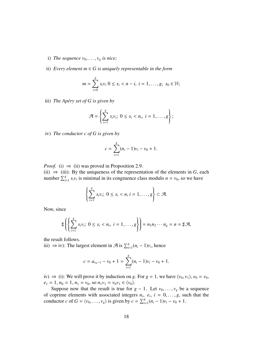- i) *The sequence*  $v_0, \ldots, v_g$  *is nice*;
- ii) *Every element*  $m \in G$  *is uniquely representable in the form*

$$
m = \sum_{i=0}^{g} s_i v_i \ 0 \leq s_i < n - i, \ i = 1, \dots, g, \ s_0 \in \mathbb{N};
$$

iii) *The Apéry set of G is given by* 

$$
\mathcal{A} = \left\{ \sum_{i=1}^g s_i v_i; \ 0 \leq s_i < n_i, \ i = 1, \dots, g \right\};
$$

iv) *The conductor c of G is given by*

$$
c = \sum_{i=1}^{g} (n_i - 1)v_i - v_0 + 1.
$$

*Proof.* (i)  $\Rightarrow$  (ii) was proved in Proposition 2.9.

(ii)  $\Rightarrow$  (iii): By the uniqueness of the representation of the elements in *G*, each number  $\sum_{i=1}^{g} s_i v_i$  is minimal in its congruence class modulo  $n = v_0$ , so we have

$$
\left\{\sum_{i=1}^g s_i v_i; \ 0 \leq s_i < n_i \ i = 1, \dots, g\right\} \subset \mathcal{A}.
$$

Now, since

$$
\sharp \left( \left\{ \sum_{i=1}^g s_i v_i; \ 0 \leq s_i < n_i, \ i = 1, \dots, g \right\} \right) = n_1 n_2 \cdots n_g = n = \sharp \mathcal{A},
$$

the result follows.

iii) ⇒ iv): The largest element in  $\mathcal{A}$  is  $\sum_{i=1}^{g} (n_i - 1)v_i$ , hence

$$
c = a_{v_0-1} - v_0 + 1 = \sum_{i=1}^{g} (n_i - 1)v_i - v_0 + 1.
$$

iv)  $\Rightarrow$  (i): We will prove it by induction on *g*. For *g* = 1, we have  $\langle v_0, v_1 \rangle$ ,  $e_0 = v_0$ ,  $e_1 = 1$ ,  $n_0 = 1$ ,  $n_1 = v_0$ , so  $n_1v_1 = v_0v_1 \in \langle v_0 \rangle$ .

Suppose now that the result is true for  $g - 1$ . Let  $v_0, \ldots, v_g$  be a sequence of coprime elements with associated integers  $n_i$ ,  $e_i$ ,  $i = 0, ..., g$ , such that the conductor  $c$  of  $G = \langle v_0, ..., v_n \rangle$  is given by  $c = \sum g(n_i - 1)v_i = v_0 + 1$ conductor *c* of  $G = \langle v_0, \dots, v_g \rangle$  is given by  $c = \sum_{i=1}^g (n_i - 1)v_i - v_0 + 1$ .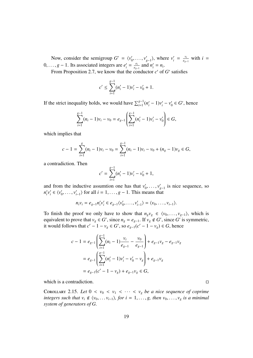Now, consider the semigroup  $G' = \langle v'_0 \rangle$  $v'_0, \ldots, v'_s$  $v'_{g-1}$ , where  $v'_i = \frac{v_i}{e_{g-1}}$  $\frac{v_i}{e_{g-1}}$  with *i* = 0, ..., *g* − 1. Its associated integers are  $e'_i = \frac{e_i}{e_g}$ <br>From Proposition 2.7, we know that the co  $\frac{e_i}{e_{g-1}}$  and  $n'_i = n_i$ .

From Proposition 2.7, we know that the conductor  $c'$  of  $G'$  satisfies

$$
c' \le \sum_{i=1}^{g-1} (n'_i - 1)v'_i - v'_0 + 1.
$$

If the strict inequality holds, we would have  $\sum_{i=1}^{g-1} (n'_i - 1)v'_i - v'_0$  $y_0 \in G'$ , hence

$$
\sum_{i=1}^{g-1} (n_i - 1)v_i - v_0 = e_{g-1} \left( \sum_{i=1}^{g-1} (n'_i - 1)v'_i - v'_0 \right) \in G,
$$

which implies that

$$
c-1 = \sum_{i=1}^{g} (n_i - 1)v_i - v_0 = \sum_{i=1}^{g-1} (n_i - 1)v_i - v_0 + (n_g - 1)v_g \in G,
$$

a contradiction. Then

$$
c' = \sum_{i=1}^{g-1} (n'_i - 1)v'_i - v'_0 + 1,
$$

and from the inductive assumtion one has that  $v'_0$  $v'_0, \ldots, v'_s$ *g*−1 is nice sequence, so  $n_i'$  $i$ <sup>*v*</sup> $i$  $v_i' \in \langle v_i' \rangle$  $v'_0, \ldots, v'_i$  $\langle i_{i-1} \rangle$  for all  $i = 1, \ldots, g - 1$ . This means that

$$
n_i v_i = e_{g-1} n'_i v'_i \in e_{g-1} \langle v'_0, \dots, v'_{i-1} \rangle = \langle v_0, \dots, v_{i-1} \rangle.
$$

To finish the proof we only have to show that  $n_g v_g \in \langle v_0, \ldots, v_{g-1} \rangle$ , which is equivalent to prove that  $v_g \in G'$ , since  $n_g = e_{g-1}$ . If  $v_g \notin G'$ , since  $G'$  is symmetric, it would follows that  $c' - 1 - v_g \in G'$ , so  $e_{g-1}(c' - 1 - v_g) \in G$ , hence

$$
c - 1 = e_{g-1} \left( \sum_{i=1}^{g-1} (n_i - 1) \frac{v_i}{e_{g-1}} - \frac{v_0}{e_{g-1}} \right) + e_{g-1} v_g - e_{g-1} v_g
$$
  
=  $e_{g-1} \left( \sum_{i=1}^{g-1} (n'_i - 1) v'_i - v'_0 - v_g \right) + e_{g-1} v_g$   
=  $e_{g-1} (c' - 1 - v_g) + e_{g-1} v_g \in G$ ,

which is a contradiction.  $\Box$ 

COROLLARY 2.15. Let  $0 < v_0 < v_1 < \cdots < v_g$  be a nice sequence of coprime *integers such that*  $v_i \notin \langle v_0, \ldots, v_{i-1} \rangle$ , for  $i = 1, \ldots, g$ , then  $v_0, \ldots, v_g$  is a minimal *system of generators of G.*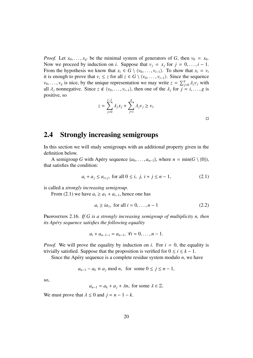*Proof.* Let  $x_0, \ldots, x_{g'}$  be the minimal system of generators of *G*, then  $v_0 = x_0$ .<br>Now we proceed by induction on *i*. Suppose that  $v_0 = x_0$  for  $i = 0$  i = 1 Now we proceed by induction on *i*. Suppose that  $v_j = x_j$  for  $j = 0, \ldots, i - 1$ . From the hypothesis we know that  $x_i \in G \setminus \langle v_0, \ldots, v_{i-1} \rangle$ . To show that  $x_i = v_i$ it is enough to prove that *v<sub>i</sub>* ≤ *z* for all *z* ∈ *G* \  $\langle v_0, \ldots, v_{i-1} \rangle$ . Since the sequence *v*<sub>0</sub>, ..., *v*<sub>*g*</sub> is nice, by the unique representation we may write  $z = \sum_{j=0}^{g} \lambda_j v_j$  with all  $\lambda$ , popperative. Since  $z \notin \{v_0, \ldots, v_k\}$  then one of the  $\lambda$ , for  $i = i$ , g is all  $\lambda_j$  nonnegative. Since  $z \notin \langle v_0, \ldots, v_{i-1} \rangle$ , then one of the  $\lambda_j$  for  $j = i, \ldots, g$  is positive, so

$$
z = \sum_{j=0}^{i-1} \lambda_j x_j + \sum_{j=i}^g \lambda_j v_j \ge v_i.
$$

 $\Box$ 

### 2.4 Strongly increasing semigroups

In this section we will study semigroups with an additional property given in the definition below.

A semigroup *G* with Apéry sequence  $\{a_0, \ldots, a_{n-1}\}$ , where  $n = \min(G \setminus \{0\})$ , that satisfies the condition:

$$
a_i + a_j \le a_{i+j}
$$
, for all  $0 \le i, j, i + j \le n - 1$ , (2.1)

is called a *strongly increasing semigroup*.

From (2.1) we have  $a_i \ge a_1 + a_{i-1}$ , hence one has

$$
a_i \ge ia_1
$$
, for all  $i = 0, ..., n-1$  (2.2)

PROPOSITION 2.16. If G is a strongly increasing semigroup of multiplicity n, then *its Apéry sequence satisfies the following equality* 

$$
a_i + a_{n-1-i} = a_{n-1}, \ \forall i = 0, \ldots, n-1.
$$

*Proof.* We will prove the equality by induction on *i*. For  $i = 0$ , the equality is trivially satisfied. Suppose that the proposition is verified for  $0 \le i \le k - 1$ .

Since the Apéry sequence is a complete residue system modulo  $n$ , we have

$$
a_{n-1} - a_k \equiv a_j \bmod n, \text{ for some } 0 \le j \le n-1,
$$

so,

$$
a_{n-1} = a_k + a_j + \lambda n, \text{ for some } \lambda \in \mathbb{Z}.
$$

We must prove that  $\lambda \leq 0$  and  $j = n - 1 - k$ .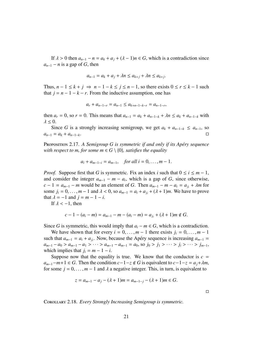If  $\lambda > 0$  then  $a_{n-1} - n = a_k + a_j + (\lambda - 1)n \in G$ , which is a contradiction since  $a_{n-1} - n$  is a gap of *G*, then

$$
a_{n-1} = a_k + a_j + \lambda n \le a_{k+j} + \lambda n \le a_{k+j}.
$$

Thus,  $n - 1 \le k + j \Rightarrow n - 1 - k \le j \le n - 1$ , so there exists  $0 \le r \le k - 1$  such that  $j = n - 1 - k - r$ . From the inductive assumption, one has

$$
a_r + a_{n-1-r} = a_{n-1} \le a_{k+n-1-k-r} = a_{n-1-r},
$$

then  $a_r = 0$ , so  $r = 0$ . This means that  $a_{n-1} = a_k + a_{n-1-k} + \lambda n \le a_k + a_{n-1-k}$  with  $\lambda \leq 0$ .

Since *G* is a strongly increasing semigroup, we get  $a_k + a_{n-1-k} \le a_{n-1}$ , so  $a_{n-1} = a_k + a_{n-1-k}$ .

Proposition 2.17. A Semigroup G is symmetric if and only if its Apéry sequence *with respect to m, for some m*  $\in$  *G* \ {0}*, satisfies the equality* 

$$
a_i + a_{m-1-i} = a_{m-1}
$$
, for all  $i = 0, ..., m-1$ .

*Proof.* Suppose first that *G* is symmetric. Fix an index *i* such that  $0 \le i \le m - 1$ , and consider the integer  $a_{m-1} - m - a_i$ , which is a gap of *G*, since otherwise,  $c - 1 = a_{m-1} - m$  would be an element of *G*. Then  $a_{m-1} - m - a_i = a_{j_i} + \lambda m$  for some  $j_i = 0, \ldots, m-1$  and  $\lambda < 0$ , so  $a_{m-1} = a_i + a_{i} + (\lambda + 1)m$ . We have to prove that  $\lambda = -1$  and  $j = m - 1 - i$ .

If  $\lambda < -1$ , then

$$
c-1-(a_i-m)=a_{m-1}-m-(a_i-m)=a_{j_i}+(\lambda+1)m \notin G.
$$

Since *G* is symmetric, this would imply that  $a_i - m \in G$ , which is a contradiction.

We have shown that for every  $i = 0, \ldots, m - 1$  there exists  $j_i = 0, \ldots, m - 1$ such that  $a_{m-1} = a_i + a_{j_i}$ . Now, because the Apéry sequence is increasing  $a_{m-1} = a_{j_i} + a_{j_i}$ .  $a_{m-1} - a_0 > a_{m-1} - a_1 > \cdots > a_{m-1} - a_{m-1} = a_0$ , so  $j_0 > j_1 > \cdots > j_i > \cdots > j_{m-1}$ , which implies that  $j_i = m - 1 - i$ .

Suppose now that the equality is true. We know that the conductor is  $c =$  $a_{m-1}-m+1 \in G$ . Then the condition  $c-1-z \notin G$  is equivalent to  $c-1-z = a_j+\lambda m$ , for some  $j = 0, \ldots, m - 1$  and  $\lambda$  a negative integer. This, in turn, is equivalent to

$$
z = a_{m-1} - a_j - (\lambda + 1)m = a_{m-1-j} - (\lambda + 1)m \in G.
$$

 $\Box$ 

Corollary 2.18. *Every Strongly Increasing Semigroup is symmetric.*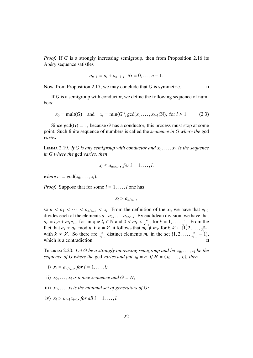*Proof.* If *G* is a strongly increasing semigroup, then from Proposition 2.16 its Apery sequence satisfies ´

$$
a_{n-1} = a_i + a_{n-1-i}, \ \forall i = 0, \ldots, n-1.
$$

Now, from Proposition 2.17, we may conclude that *G* is symmetric.

If *G* is a semigroup with conductor, we define the following sequence of numbers:

$$
x_0 = \text{mult}(G) \quad \text{and} \quad x_l = \min(G \setminus \text{gcd}(x_0, \dots, x_{l-1})\mathbb{N}), \text{ for } l \ge 1. \tag{2.3}
$$

Since  $gcd(G) = 1$ , because G has a conductor, this process must stop at some point. Such finite sequence of numbers is called the *sequence in G where the* gcd *varies*.

LEMMA 2.19. *If G is any semigroup with conductor and*  $x_0, \ldots, x_l$ , *is the sequence*<br>*in G where the gcd varies, then in G where the* gcd *varies, then*

$$
x_i \leq a_{n/e_{i-1}}, \text{ for } i=1,\ldots,l,
$$

*where*  $e_i = \gcd(x_0, \ldots, x_i)$ .

*Proof.* Suppose that for some  $i = 1, \ldots, l$  one has

$$
x_i > a_{n/e_{i-1}},
$$

so  $n < a_1 < \cdots < a_{n/e_{i-1}} < x_i$ . From the definition of the  $x_i$ , we have that  $e_{i-1}$  divides each of the elements  $a_i$ ,  $a_i$  and  $a_j$  By euclidean division, we have that divides each of the elements  $a_1, a_2, \ldots, a_{n/e_{i-1}}$ . By euclidean division, we have that  $a_i = l, n + m, e_{i,j}$  for unique  $l, \in \mathbb{N}$  and  $0 \le m, \le \frac{n}{l}$  for  $k = 1, \ldots, \frac{n}{l}$ . From the  $a_k = l_k n + m_k e_{i-1}$  for unique  $l_k \in \mathbb{N}$  and  $0 \le m_k \le \frac{n}{e_i}$ <br>fact that  $a_k \ne a_k$  mod  $n$  if  $k \ne k'$  it follows that  $m_k$ .  $\frac{n}{e_{i-1}}$ , for  $k = 1, ..., \frac{n}{e_{i-1}}$ <br>*n*  $+ m$  for  $k \neq 1$  $\frac{n}{e_{i-1}}$ . From the fact that  $a_k \neq a_{k'}$  mod *n*, if  $k \neq k'$ , it follows that  $m_k \neq m_{k'}$  for  $k, k' \in \{1, 2, ..., \frac{n}{e_i} \}$ <br>with  $k \neq k'$ . So there are  $\frac{n}{e_i}$  distinct elements *m*, in the set  $\{1, 2, ..., \frac{n}{e_i} \}$  $\frac{n}{e_{i-1}}\}$ with  $k \neq k'$ . So there are  $\frac{n}{e_{i-1}}$  distinct elements  $m_k$  in the set  $\{1, 2, \ldots, \frac{n}{e_i}\}$  $\frac{n}{e_{i-1}} - 1$ , which is a contradiction.  $\Box$ 

**THEOREM** 2.20. Let G be a strongly increasing semigroup and let  $x_0, \ldots, x_l$  be the *sequence of G where the gcd varies and put*  $x_0 = n$ . If  $H = \langle x_0, \ldots, x_l \rangle$ , then

- i)  $x_i = a_{n/e_{i-1}}$ , for  $i = 1, ..., l$ ;
- ii)  $x_0, \ldots, x_l$  *is a nice sequence and*  $G = H$ ;
- iii)  $x_0, \ldots, x_l$  *is the minimal set of generators of G;*
- iv)  $x_i > n_{i-1}x_{i-1}$ , for all  $i = 1, ..., l$ .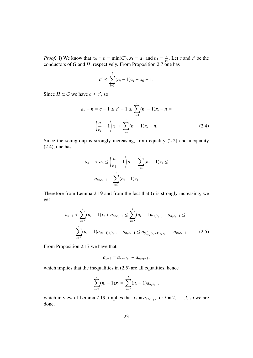*Proof.* i) We know that  $x_0 = n = \min(G)$ ,  $x_1 = a_1$  and  $n_1 = \frac{n}{e_1}$  $\frac{n}{e_1}$ . Let *c* and *c*' be the conductors of *G* and *H*, respectively. From Proposition 2.7 one has

$$
c' \leq \sum_{i=1}^{l} (n_i - 1)x_i - x_0 + 1.
$$

Since  $H \subset G$  we have  $c \leq c'$ , so

$$
a_n - n = c - 1 \le c' - 1 \le \sum_{i=1}^{l} (n_i - 1)x_i - n =
$$

$$
\left(\frac{n}{e_i} - 1\right)x_1 + \sum_{i=2}^{l} (n_i - 1)x_i - n.
$$
(2.4)

Since the semigroup is strongly increasing, from equality (2.2) and inequality (2.4), one has

$$
a_{n-1} < a_n \le \left(\frac{n}{e_1} - 1\right) a_1 + \sum_{i=2}^l (n_i - 1) x_i \le
$$
\n
$$
a_{n/e_1 - 1} + \sum_{i=2}^l (n_i - 1) x_i.
$$

Therefore from Lemma 2.19 and from the fact that *G* is strongly increasing, we get

$$
a_{n-1} < \sum_{i=2}^{l} (n_i - 1)x_i + a_{n/e_1 - 1} \leq \sum_{i=2}^{l} (n_i - 1)a_{n/e_{i-1}} + a_{n/e_1 - 1} \leq
$$
\n
$$
\sum_{i=2}^{l} (n_i - 1)a_{(n_i - 1)n/e_{i-1}} + a_{n/e_1 - 1} \leq a_{\sum_{i=2}^{l} (n_i - 1)n/e_{i-1}} + a_{n/e_1 - 1}.\tag{2.5}
$$

From Proposition 2.17 we have that

$$
a_{n-1} = a_{n-n/e_1} + a_{n/e_1-1},
$$

which implies that the inequalities in  $(2.5)$  are all equalities, hence

$$
\sum_{i=2}^{l} (n_i - 1)x_i = \sum_{i=2}^{l} (n_i - 1)a_{n/e_{i-1}},
$$

which in view of Lemma 2.19, implies that  $x_i = a_{n/e_{i-1}}$ , for  $i = 2, ..., l$ , so we are done done.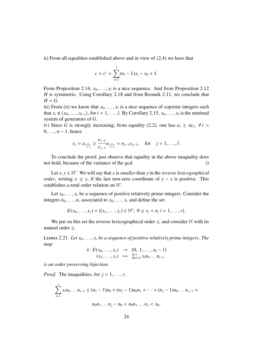ii) From all equalities established above and in view of (2.4) we have that

$$
c = c' = \sum_{i=1}^{l} (n_i - 1)x_i - x_0 + 1.
$$

From Proposition 2.14,  $x_0, \ldots, x_l$  is a nice sequence. And from Proposition 2.12<br>*H* is symmetric. Using Corollary 2.18 and from Remark 2.11, we conclude that *H* is symmetric. Using Corollary 2.18 and from Remark 2.11, we conclude that  $H = G$ .

iii) From (ii) we know that  $x_0, \ldots, x_l$  is a nice sequence of coprime integers such<br>that  $x_i \notin (x_0, \ldots, x_l)$  for  $i = 1, \ldots, l$  By Corollary 2.15,  $x_0, \ldots, x_l$  is the minimal that  $x_i \notin \langle x_0, \ldots, x_{i-1} \rangle$ , for  $i = 1, \ldots, l$ . By Corollary 2.15,  $x_0, \ldots, x_l$  is the minimal system of generators of G system of generators of *G*.

iv) Since *G* is strongly increasing, from equality (2.2), one has  $a_i \geq ia_1$ ,  $\forall i =$  $0, \ldots, n-1$ , hence

$$
x_j = a_{\frac{n}{e_{j-1}}} \geq \frac{e_{j-2}}{e_{j-1}} a_{\frac{n}{e_{j-2}}} = n_{j-1} x_{j-1}, \text{ for } j = 1, \ldots, \ell.
$$

To conclude the proof, just observe that equality in the above inequality does not hold, because of the variance of the gcd.

Let  $x, y \in \mathbb{N}^r$ . We will say that *x* is *smaller* than *y* in the *reverse lexicographical*  $er$  writing  $x \leq y$  if the last non-zero coordinate of  $y - x$  is positive. This *order*, writing  $x \leq y$ , if the last non-zero coordinate of  $y - x$  is positive. This establishes a total order relation on N *r* .

Let  $x_0, \ldots, x_r$  be a sequence of positive relatively prime integers. Consider the integers  $n_0, \ldots, n_r$  associated to  $x_0, \ldots, x_r$  and define the set

$$
E(x_0,\ldots,x_r) = \{(s_1,\ldots,s_r) \in \mathbb{N}^r; \ 0 \le s_i < n_i \ i = 1,\ldots,r\}.
$$

We put on this set the reverse lexicographical order  $\leq$ , and consider N with its natural order ≤.

LEMMA 2.21. Let  $x_0, \ldots, x_r$  be a sequence of positive relatively prime integers. The *map*

$$
\lambda: E(x_0, ..., x_r) \rightarrow \{0, 1, ..., x_0 - 1\}
$$
  

$$
(s_1, ..., s_r) \mapsto \sum_{i=1}^r s_i n_0 ... n_{i-1}
$$

*is an order preserving bijection.*

*Proof.* The inequalities, for  $j = 1, \ldots, r$ ,

$$
\sum_{i=1}^{j} s_i n_0 \dots n_{i-1} \le (n_1 - 1)n_0 + (n_2 - 1)n_0 n_1 + \dots + (n_j - 1)n_0 \dots n_{j-1} =
$$
  

$$
n_0 n_1 \dots n_j - n_0 < n_0 n_1 \dots n_j < x_0,
$$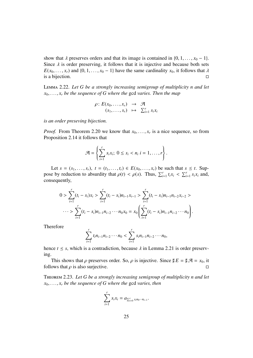show that  $\lambda$  preserves orders and that its image is contained in  $\{0, 1, \ldots, x_0 - 1\}$ . Since  $\lambda$  is order preserving, it follows that it is injective and because both sets *E*( $x_0, \ldots, x_r$ ) and {0, 1, . . . ,  $x_0 - 1$ } have the same cardinality  $x_0$ , it follows that  $\lambda$  is a bijection. is a bijection.

Lemma 2.22. *Let G be a strongly increasing semigroup of multiplicity n and let*  $x_0, \ldots, x_r$  be the sequence of G where the gcd varies. Then the map

$$
\rho: E(x_0, \ldots, x_r) \rightarrow \mathcal{A}
$$
  

$$
(s_1, \ldots, s_r) \mapsto \sum_{i=1}^r s_i x_i
$$

*is an order preseving bijection.*

*Proof.* From Theorem 2.20 we know that  $x_0, \ldots, x_r$  is a nice sequence, so from Proposition 2.14 it follows that Proposition 2.14 it follows that

$$
\mathcal{A} = \left\{ \sum_{i=1}^r s_i x_i; \ 0 \leq s_i < n_i \ i = 1, \dots, r \right\}.
$$

Let  $s = (s_1, ..., s_r)$ ,  $t = (t_1, ..., t_r) \in E(x_0, ..., x_r)$  be such that  $s \le t$ . Suppose by reduction to absurdity that  $\rho(t) < \rho(s)$ . Thus,  $\sum_{i=1}^{r} t_i x_i < \sum_{i=1}^{r} s_i x_i$  and, consequently,

$$
0 > \sum_{i=1}^{r} (t_i - s_i)x_i > \sum_{i=1}^{r} (t_i - s_i)n_{i-1}x_{i-1} > \sum_{i=1}^{r} (t_i - s_i)n_{i-1}n_{i-2}x_{i-2} > \cdots > \sum_{i=1}^{r} (t_i - s_i)n_{i-1}n_{i-2}\cdots n_0x_0 = x_0\left(\sum_{i=1}^{r} (t_i - s_i)n_{i-1}n_{i-2}\cdots n_0\right).
$$

Therefore

$$
\sum_{i=1}^r t_i n_{i-1} n_{i-2} \cdots n_0 < \sum_{i=1}^r s_i n_{i-1} n_{i-2} \cdots n_0,
$$

hence  $t \leq s$ , which is a contradiction, because  $\lambda$  in Lemma 2.21 is order preserving.

This shows that  $\rho$  preserves order. So,  $\rho$  is injective. Since  $\sharp E = \sharp \mathcal{A} = x_0$ , it ows that  $\rho$  is also surjective. follows that  $\rho$  is also surjective.

Theorem 2.23. *Let G be a strongly increasing semigroup of multiplicity n and let*  $x_0, \ldots, x_r$  *be the sequence of G where the gcd varies, then* 

$$
\sum_{i=1}^r s_i x_i = a_{\sum_{i=0}^r s_i n_0 \cdots n_{i-1}}.
$$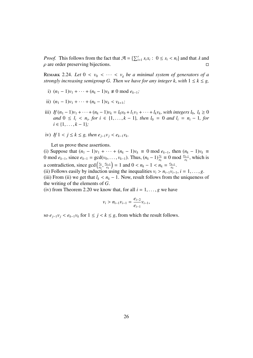*Proof.* This follows from the fact that  $\mathcal{A} = \sum_{i=1}^{r} s_i x_i : 0 \le s_i < n_i$  and that  $\lambda$  and  $\alpha$  are order preserving bijections  $\rho$  are order preserving bijections.

**REMARK** 2.24. Let  $0 < v_0 < \cdots < v_g$  be a minimal system of generators of a *strongly increasing semigroup G. Then we have for any integer k, with*  $1 \leq k \leq g$ ,

- i)  $(n_1 1)v_1 + \cdots + (n_k 1)v_k \neq 0 \text{ mod } e_{k-1}$ ;
- ii)  $(n_1 1)v_1 + \cdots + (n_k 1)v_k < v_{k+1}$ ;
- iii) *If*  $(n_1 1)v_1 + \cdots + (n_k 1)v_k = l_0v_0 + l_1v_1 + \cdots + l_kv_k$ , with integers  $l_0, l_k ≥ 0$ <br>and  $0 \le l_i \le n$ , for  $i \in \{1, \ldots, k-1\}$ , then  $l_0 = 0$  and  $l_1 = n_1 1$  for *and*  $0 \le l_i < n_i$ , *for*  $i \in \{1, ..., k - 1\}$ , *then*  $l_0 = 0$  *and*  $l_i = n_i - 1$ , *for*  $i \in \{1, ..., k - 1\}$ . *<sup>i</sup>* ∈ {1, . . . , *<sup>k</sup>* <sup>−</sup> <sup>1</sup>}*;*
- iv) If  $1 < j \le k \le g$ , then  $e_{j-1}v_j < e_{k-1}v_k$ .

Let us prove these assertions.

(i) Suppose that  $(n_1 - 1)v_1 + \cdots + (n_k - 1)v_k \equiv 0 \mod e_{k-1}$ , then  $(n_k - 1)v_k \equiv 0 \mod e_{k-1}$ 0 mod  $e_{k-1}$ , since  $e_{k-1} = \gcd(v_0, \ldots, v_{k-1})$ . Thus,  $(n_k - 1) \frac{v_k}{e_k} \equiv 0 \mod \frac{e_{k-1}}{e_k}$ , which is a contradiction, since  $gcd(\frac{v_k}{v_k})$ *ek* , *ek*−<sup>1</sup>  $\left(\frac{k-1}{e_k}\right)$  = 1 and 0 <  $n_k - 1$  <  $n_k = \frac{e_{k-1}}{e_k}$ <br>
lusing the inequalities  $v_k > n_k$ ,  $v_k$  $\frac{k-1}{e_k}$ .

(ii) Follows easily by induction using the inequalities  $v_i > n_{i-1}v_{i-1}$ ,  $i = 1, ..., g$ .<br>(iii) From (ii) we get that  $l_i < n_i - 1$ . Now result follows from the uniqueness (iii) From (ii) we get that  $l_k < n_k - 1$ . Now, result follows from the uniqueness of the writing of the elements of *G*.

(iv) from Theorem 2.20 we know that, for all  $i = 1, \ldots, g$  we have

$$
v_i > n_{i-1}v_{i-1} = \frac{e_{i-2}}{e_{i-1}}v_{i-1},
$$

so  $e_{i-1}v_i < e_{k-1}v_k$  for  $1 \leq j < k \leq g$ , from which the result follows.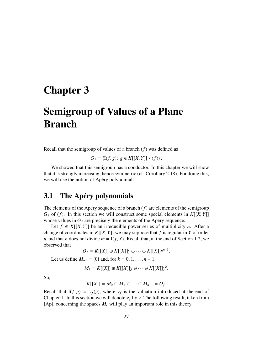## Chapter 3

# Semigroup of Values of a Plane Branch

Recall that the semigroup of values of a branch (*f*) was defined as

$$
G_f = \{I(f,g); g \in K[[X,Y]] \setminus \langle f \rangle\}.
$$

We showed that this semigroup has a conductor. In this chapter we will show that it is strongly increasing, hence symmetric (cf. Corollary 2.18). For doing this, we will use the notion of Apéry polynomials.

### 3.1 The Apéry polynomials

The elements of the Apéry sequence of a branch  $(f)$  are elements of the semigroup  $G_f$  of (*f*). In this section we will construct some special elements in  $K[[X, Y]]$ whose values in  $G_f$  are precisely the elements of the Apéry sequence.

Let  $f \in K[[X, Y]]$  be an irreducible power series of multiplicity *n*. After a change of coordinates in  $K[[X, Y]]$  we may suppose that  $f$  is regular in  $Y$  of order *n* and that *n* does not divide  $m = I(f, Y)$ . Recall that, at the end of Section 1.2, we observed that

$$
O_f = K[[X]] \oplus K[[X]]y \oplus \cdots \oplus K[[X]]y^{n-1}.
$$

Let us define  $M_{-1} = \{0\}$  and, for  $k = 0, 1, ..., n - 1$ ,

 $M_k = K[[X]] ⊕ K[[X]]y ⊕ \cdots ⊕ K[[X]]y^k$ 

So,

$$
K[[X]] = M_0 \subset M_1 \subset \cdots \subset M_{n-1} = O_f.
$$

Recall that  $I(f, g) = v_f(g)$ , where  $v_f$  is the valuation introduced at the end of Chapter 1. In this section we will denote  $v_f$  by  $v_f$ . The following result taken from Chapter 1. In this section we will denote  $v_f$  by  $v$ . The following result, taken from [Ap], concerning the spaces  $M_k$  will play an important role in this theory.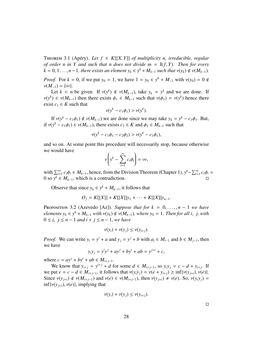THEOREM 3.1 (Apéry). Let  $f \in K[[X, Y]]$  of multiplicity n, irreducible, regular *of order n in Y and such that n does not divide*  $m = I(f, Y)$ *. Then for every*  $k = 0, 1, \ldots, n-1$ , there exists an element  $y_k \in y^k + M_{k-1}$  such that  $v(y_k) \notin v(M_{k-1})$ .

*Proof.* For  $k = 0$ , if we put  $y_0 = 1$ , we have  $1 = y_0 \in y^0 + M_{-1}$  with  $v(y_0) = 0 \notin y(M_{-1}) - \{ \infty \}$  $\nu(M_{-1}) = {\infty}.$ 

Let  $k < n$  be given. If  $v(y^k) \notin v(M_{k-1})$ , take  $y_k = y^k$  and we are done. If  $v(y^k) \in v(M_{k-1})$  then there exists  $\phi_1 \in M_{k-1}$  such that  $v(\phi_1) = v(y^k)$  hence there exist  $c_k \in K$  such that exist  $c_1 \in K$  such that

$$
v(y^k - c_1\phi_1) > v(y^k).
$$

If  $v(y^k - c_1\phi_1) \notin v(M_{k-1})$  we are done since we may take  $y_k = y^k - c_1\phi_1$ . But,<br> $(v^k - c_1\phi_1) \in v(M_{k-1})$  there exists  $c_2 \in K$  and  $\phi_2 \in M_{k-1}$  such that if  $v(y^k - c_1\phi_1) \in v(M_{k-1})$ , there exists  $c_2 \in K$  and  $\phi_2 \in M_{k-1}$  such that

$$
v(y^k - c_1\phi_1 - c_2\phi_2) > v(y^k - c_1\phi_1),
$$

and so on. At some point this procedure will necessarily stop, because otherwise we would have

$$
\nu\left(y^k-\sum_{i=1}^\infty c_i\phi_i\right)=\infty,
$$

with  $\sum_{i=1}^{\infty} c_i \phi_i \in M_{k-1}$ , hence, from the Division Theorem (Chapter 1),  $y^k - \sum_{i=1}^{\infty} c_i \phi_i = 0$  so  $y^k \in M_{k-1}$ , which is a contradiction 0 so  $y^k$  ∈  $M_{k-1}$ , which is a contradiction.

Observe that since  $y_k \in y^k + M_{k-1}$ , it follows that

$$
O_f = K[[X]] + K[[X]]y_1 + \cdots + K[[X]]y_{n-1}.
$$

**PROPOSITION** 3.2 (Azevedo [Az]). *Suppose that for*  $k = 0, \ldots, n - 1$  *we have elements*  $y_k \in y^k + M_{k-1}$  *with*  $v(y_k) \notin v(M_{k-1})$ *, where*  $y_0 = 1$ *. Then for all i, j, with*  $0 \le i, i \le n-1$  *and*  $i + j \le n-1$  *we have* <sup>0</sup> <sup>≤</sup> *<sup>i</sup>*, *<sup>j</sup>* <sup>≤</sup> *<sup>n</sup>* <sup>−</sup> <sup>1</sup> *and i* <sup>+</sup> *<sup>j</sup>* <sup>≤</sup> *<sup>n</sup>* <sup>−</sup> <sup>1</sup>*, we have*

$$
v(y_i) + v(y_j) \le v(y_{i+j}).
$$

*Proof.* We can write  $y_i = y^i + a$  and  $y_j = y^j + b$  with  $a_i \in M_{i-1}$  and  $b \in M_{j-1}$ , then we have

$$
y_i y_j = y^i y^j + ay^j + by^i + ab = y^{j+i} + c,
$$

where  $c = ay^{j} + by^{i} + ab \in M_{i+j-1}$ .

We know that  $y_{i+j} = y^{i+j} + d$  for some  $d \in M_{i+j-1}$ , so  $y_i y_j = c - d + y_{i+j}$ . If we put *e* = *c* − *d* ∈ *M*<sub>*i*+*i*</sub>−1, it follows that  $ν(y_i y_j) = ν(e + y_{i+1}) ≥ inf{ν(y_{i+1}), v(e)}$ . Since  $v(y_{i+i}) \notin v(M_{i+j-1})$  and  $v(e) \in v(M_{i+j-1})$ , then  $v(y_{i+i}) \neq v(e)$ . So,  $v(y_i y_i) =$  $\inf \{v(y_{i+i}), v(e)\},$  implying that

$$
v(y_i) + v(y_j) \le v(y_{i+j}).
$$

 $\Box$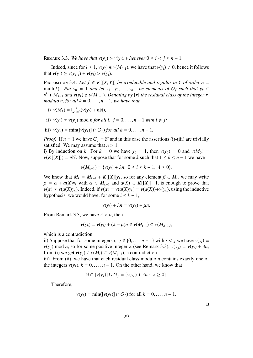REMARK 3.3. *We have that*  $v(y_i) > v(y_i)$ *, whenever*  $0 \le i < j \le n - 1$ *.* 

Indeed, since for  $l \ge 1$ ,  $v(y_l) \notin v(M_{l-1})$ , we have that  $v(y_l) \ne 0$ , hence it follows that  $v(y_i) \ge v(y_{i-i}) + v(y_i) > v(y_i)$ .

PROPOSITION 3.4. Let  $f \in K[[X, Y]]$  *be irreducible and regular in Y of order n* = mult(*f*). Put  $y_0 = 1$  *and let*  $y_1, y_2, \ldots, y_{n-1}$  *be elements of*  $O_f$  *such that*  $y_k \in$  $y^k + M_{k-1}$  *and*  $v(y_k) \notin v(M_{k-1})$ *. Denoting by* [*r*] *the residual class of the integer r,*<br>*modulo n*, for all  $k = 0$ ,  $n = 1$ , we have that *modulo n, for all*  $k = 0, \ldots, n-1$ *, we have that* 

- i)  $v(M_k) = \bigcup_{i=0}^k (v(y_i) + n\mathbb{N});$
- ii)  $v(y_i) \neq v(y_i)$  mod *n* for all *i*,  $j = 0, \ldots, n 1$  *with*  $i \neq j$ ;
- iii)  $v(y_k) = \min([v(y_k)] \cap G_f$  *for all k* = 0, ..., *n* − 1.

*Proof.* If  $n = 1$  we have  $G_f = N$  and in this case the assertions (i)-(iii) are trivially satisfied. We may assume that  $n > 1$ .

i) By induction on *k*. For  $k = 0$  we have  $y_0 = 1$ , then  $v(y_0) = 0$  and  $v(M_0) = 0$  $\nu(K[[X]]) = n\mathbb{N}$ . Now, suppose that for some *k* such that  $1 \leq k \leq n-1$  we have

$$
\nu(M_{k-1}) = \{\nu(y_i) + \lambda n; \ 0 \le i \le k-1, \ \lambda \ge 0\}.
$$

We know that  $M_k = M_{k-1} + K[[X]]y_k$ , so for any element  $\beta \in M_k$ , we may write  $\beta = \alpha + a(Y)y_k$ , with  $\alpha \in M_k$ , and  $a(Y) \in K[[Y]]$ . It is enough to prove that  $\beta = \alpha + a(X)y_k$  with  $\alpha \in M_{k-1}$  and  $a(X) \in K[[X]]$ . It is enough to prove that  $\nu(\alpha) \neq \nu(a(X)y_k)$ . Indeed, if  $\nu(\alpha) = \nu(a(X)y_k) = \nu(a(X)) + \nu(y_k)$ , using the inductive hypothesis, we would have, for some  $i \leq k - 1$ ,

$$
v(y_i) + \lambda n = v(y_k) + \mu n.
$$

From Remark 3.3, we have  $\lambda > \mu$ , then

$$
\nu(y_k) = \nu(y_i) + (\lambda - \mu)n \in \nu(M_{i-1}) \subset \nu(M_{k-1}),
$$

which is a contradiction.

ii) Suppose that for some integers *i*,  $j \in \{0, ..., n-1\}$  with  $i < j$  we have  $v(y_i) \equiv$  $v(y_i)$  mod *n*, so for some positive integer  $\lambda$  (see Remark 3.3),  $v(y_i) = v(y_i) + \lambda n$ , from (i) we get  $v(y_i) \in v(M_i) \subset v(M_{i-1})$ , a contradiction.

iii) From (ii), we have that each residual class modulo  $n$  contains exactly one of the integers  $v(y_k)$ ,  $k = 0, \ldots, n - 1$ . On the other hand, we know that

$$
\mathbb{N} \cap [\nu(y_k)] \cup G_f = {\nu(y_k) + \lambda n : \lambda \geq 0}.
$$

Therefore,

$$
\nu(y_k) = \min([\nu(y_k)] \cap G_f) \text{ for all } k = 0, \ldots, n-1.
$$

 $\Box$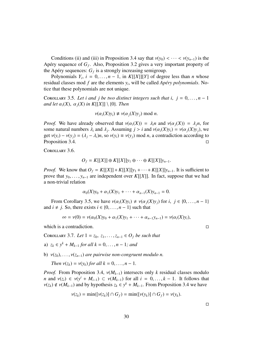Conditions (ii) and (iii) in Proposition 3.4 say that  $v(y_0) < \cdots < v(y_{n-1})$  is the Apéry sequence of  $G_f$ . Also, Proposition 3.2 gives a very important property of the Apéry sequences:  $G_f$  is a strongly increasing semigroup.

Polynomials  $Y_i$ ,  $i = 0, ..., n - 1$ , in  $K[[X]][Y]$  of degree less than *n* whose dual classes mod *f* are the elements  $y_i$ , will be called *Anéry polynomials*. Noresidual classes mod  $f$  are the elements  $y_i$ , will be called  $Apéry$  *polynomials*. Notice that these polynomials are not unique.

COROLLARY 3.5. Let *i* and *j* be two distinct integers such that *i*,  $j = 0, \ldots, n - 1$ *and let*  $\alpha_i(X)$ ,  $\alpha_j(X)$  *in K*[[*X*]] \ {0}*. Then* 

$$
\nu(\alpha_i(X)y_i) \neq \nu(\alpha_j(X)y_j) \text{ mod } n.
$$

*Proof.* We have already observed that  $v(\alpha_i(X)) = \lambda_i n$  and  $v(\alpha_i(X)) = \lambda_i n$ , for some natural numbers  $\lambda_i$  and  $\lambda_j$ . Assuming  $j > i$  and  $v(\alpha_i(X)y_i) = v(\alpha_j(X)y_j)$ , we get  $v(y_i) = v(y_i) = (\lambda_i - \lambda_i)y_i$  so  $v(y_i) = v(y_i)$  mod *n*<sub>2</sub> contradiction according to get  $v(y_i) - v(y_j) = (\lambda_j - \lambda_i)n$ , so  $v(y_i) \equiv v(y_j) \mod n$ , a contradiction according to Proposition 3.4. Proposition 3.4.

Corollary 3.6.

$$
O_f = K[[X]] \oplus K[[X]]y_1 \oplus \cdots \oplus K[[X]]y_{n-1}.
$$

*Proof.* We know that  $O_f = K[[X]] + K[[X]]y_1 + \cdots + K[[X]]y_{n-1}$ . It is sufficient to prove that  $y_0, \ldots, y_{n-1}$  are independent over  $K[[X]]$ . In fact, suppose that we had a non-trivial relation

$$
\alpha_0(X)y_0 + \alpha_1(X)y_1 + \cdots + \alpha_{n-1}(X)y_{n-1} = 0.
$$

From Corollary 3.5, we have  $v(\alpha_i(X)y_i) \neq v(\alpha_i(X)y_i)$  for *i*,  $j \in \{0, \ldots, n-1\}$ and  $i \neq j$ . So, there exists  $i \in \{0, \ldots, n-1\}$  such that

$$
\infty = \nu(0) = \nu(\alpha_0(X)y_0 + \alpha_1(X)y_1 + \cdots + \alpha_{n-1}y_{n-1}) = \nu(\alpha_i(X)y_i),
$$

which is a contradiction.  $\Box$ 

<sup>C</sup>orollary 3.7. *Let* <sup>1</sup> <sup>=</sup> *<sup>z</sup>*<sup>0</sup>, *<sup>z</sup>*<sup>1</sup>, . . . ,*zn*−<sup>1</sup> <sup>∈</sup> *<sup>O</sup><sup>f</sup> be such that*

- a)  $z_k \in y^k + M_{k-1}$  *for all*  $k = 0, ..., n − 1$ *; and*
- b)  $v(z_0), \ldots, v(z_{n-1})$  *are pairwise non-congruent modulo n.*

*Then*  $v(z_k) = v(y_k)$  *for all*  $k = 0, \ldots, n - 1$ .

*Proof.* From Proposition 3.4,  $v(M_{k-1})$  intersects only *k* residual classes modulo *n* and  $v(z_i) \in v(y^i + M_{i-1}) \subset v(M_{k-1})$  for all  $i = 0, ..., k-1$ . It follows that  $v(z_i) \notin v(M_{i-1})$  and by hypothesis  $z_i \in y^k + M_{i-1}$ . From Proposition 3.4 we have  $v(z_k) \notin v(M_{k-1})$  and by hypothesis  $z_k \in y^k + M_{k-1}$ . From Proposition 3.4 we have

$$
\nu(z_k) = \min([\nu(z_k)] \cap G_f) = \min([\nu(y_k)] \cap G_f) = \nu(y_k).
$$

 $\Box$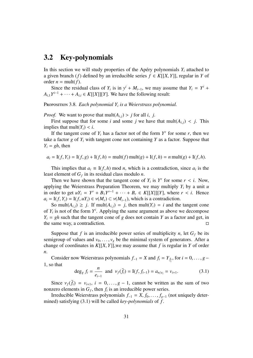### 3.2 Key-polynomials

In this section we will study properties of the Apéry polynomials  $Y_i$  attached to a given branch (*f*) defined by an irreducible series  $f \in K[[X, Y]]$ , regular in *Y* of order  $n = \text{mult}(f)$ .

Since the residual class of  $Y_i$  is in  $y^i + M_{i-1}$ , we may assume that  $Y_i = Y^i +$  $A_{i,1}Y^{i-1} + \cdots + A_{i,i} \in K[[X]][Y]$ . We have the following result:

Proposition 3.8. *Each polynomial Y<sup>i</sup> is a Weierstrass polynomial.*

*Proof.* We want to prove that  $mult(A_{i,j}) > j$  for all *i*, *j*.

First suppose that for some *i* and some *j* we have that  $mult(A_{i,j}) < j$ . This implies that mult( $Y_i$ ) < *i*.

If the tangent cone of  $Y_i$  has a factor not of the form  $Y^r$  for some  $r$ , then we take a factor  $g$  of  $Y_i$  with tangent cone not containing  $Y$  as a factor. Suppose that  $Y_i = gh$ , then

$$
a_i = I(f, Y_i) = I(f, g) + I(f, h) = mult(f) mult(g) + I(f, h) = n mult(g) + I(f, h).
$$

This implies that  $a_i \equiv I(f, h) \mod n$ , which is a contradiction, since  $a_i$  is the *t* element of  $G_i$  in its residual class modulo *n* least element of *G<sup>f</sup>* in its residual class modulo *n*.

Then we have shown that the tangent cone of  $Y_i$  is  $Y^r$  for some  $r < i$ . Now, with the Weightran *S* reparation *Theorem*, we may multiply *Y*, by a unit *u* applying the Weierstrass Preparation Theorem, we may multiply *Y<sup>i</sup>* by a unit *u* in order to get  $uY_i = Y^r + B_1Y^{r-1} + \cdots + B_r \in K[[X]][Y]$ , where  $r < i$ . Hence  $a_i - I(f, Y_i) - I(f, uY_i) \in y(M_i) \subset y(M_{i+1})$ , which is a contradiction  $a_i = I(f, Y_i) = I(f, uY_i) \in v(M_r) \subset v(M_{i-1}),$  which is a contradiction.

So mult $(A_{i,j}) \geq j$ . If mult $(A_{i,j}) = j$ , then mult $(Y_i) = i$  and the tangent cone of  $Y_i$  is not of the form  $Y^i$ . Applying the same argument as above we decompose  $Y_i = gh$  such that the tangent cone of *g* does not contain *Y* as a factor and get, in the same way, a contradiction.

Suppose that *f* is an irreducible power series of multiplicity *n*, let  $G_f$  be its semigroup of values and  $v_0, \ldots, v_g$  be the minimal system of generators. After a change of coordinates in  $K[[X, Y]],$  we may assume that f is regular in Y of order *n*.

Consider now Weierstrass polynomials  $f_{-1} = X$  and  $f_i = Y_{\frac{n}{e_i}}$ , for  $i = 0, \ldots, g -$ 1, so that

$$
\deg_Y f_i = \frac{n}{e_{i-1}} \text{ and } \nu_f(\bar{f}_i) = \mathbf{I}(f, f_{i-1}) = a_{n/e_i} = \nu_{i+1}.
$$
 (3.1)

Since  $v_f(\bar{f}_i) = v_{i+1}$ ,  $i = 0, \ldots, g-1$ , cannot be written as the sum of two zero elements in  $G_i$ , then f is an irreducible power series nonzero elements in  $G_f$ , then  $f_i$  is an irreducible power series.

Irreducible Weierstrass polynomials  $f_{-1} = X, f_0, \ldots, f_{g-1}$  (not uniquely determined) satisfying (3.1) will be called *key-polynomials* of *f* .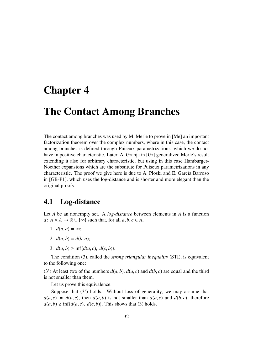### Chapter 4

### The Contact Among Branches

The contact among branches was used by M. Merle to prove in [Me] an important factorization theorem over the complex numbers, where in this case, the contact among branches is defined through Puiseux parametrizations, which we do not have in positive characteristic. Later, A. Granja in [Gr] generalized Merle's result extending it also for arbitrary characteristic, but using in this case Hamburger-Noether expansions which are the substitute for Puiseux parametrizations in any characteristic. The proof we give here is due to A. Ploski and E. García Barroso in [GB-P1], which uses the log-distance and is shorter and more elegant than the original proofs.

#### 4.1 Log-distance

Let *A* be an nonempty set. A *log-distance* between elements in *A* is a function *d* : *A* × *A* →  $\mathbb{R} \cup \{\infty\}$  such that, for all *a*, *b*, *c* ∈ *A*,

- 1.  $d(a, a) = \infty$ ;
- 2.  $d(a, b) = d(b, a)$ ;
- 3.  $d(a, b) \ge \inf \{ d(a, c), d(c, b) \}.$

The condition (3), called the *strong triangular inequality* (STI), is equivalent to the following one:

(3<sup>'</sup>) At least two of the numbers  $d(a, b)$ ,  $d(a, c)$  and  $d(b, c)$  are equal and the third is not smaller than them.

Let us prove this equivalence.

Suppose that (3') holds. Without loss of generality, we may assume that  $d(a, c) = d(b, c)$ , then  $d(a, b)$  is not smaller than  $d(a, c)$  and  $d(b, c)$ , therefore  $d(a, b) \ge \inf \{ d(a, c), d(c, b) \}.$  This shows that (3) holds.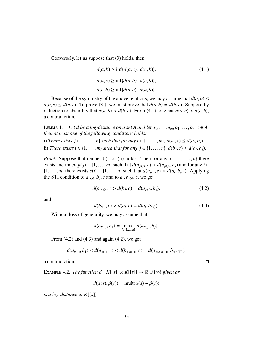Conversely, let us suppose that (3) holds, then

$$
d(a, b) \ge \inf \{d(a, c), d(c, b)\},
$$
  
\n
$$
d(a, c) \ge \inf \{d(a, b), d(c, b)\},
$$
  
\n
$$
d(c, b) \ge \inf \{d(a, c), d(a, b)\}.
$$
\n(4.1)

Because of the symmetry of the above relations, we may assume that  $d(a, b) \le$  $d(b, c) \leq d(a, c)$ . To prove (3'), we must prove that  $d(a, b) = d(b, c)$ . Suppose by reduction to absurdity that  $d(a, b) < d(b, c)$ . From (4.1), one has  $d(a, c) < d(c, b)$ , a contradiction.

LEMMA 4.1. Let d be a log-distance on a set A and let  $a_1, \ldots, a_m, b_1, \ldots, b_n, c \in A$ , *then at least one of the following conditions holds:*

i) *There exists*  $j \in \{1, ..., n\}$  *such that for any*  $i \in \{1, ..., m\}$ ,  $d(a_i, c) \leq d(a_i, b_j)$ .<br>
∴∴ *Tl*<sub>*i*</sub>  $\cdot$  *i*  $\cdot$  *i*  $\cdot$  *i*  $\cdot$  *i*  $\cdot$  *i*  $\cdot$  *i*  $\cdot$  *i*  $\cdot$  *i*  $\cdot$  *i*  $\cdot$  *i*  $\cdot$  *i*  $\cdot$  *i*  $\cdot$  *i*  $\$ 

*ii*) *There exists i* ∈ {1, . . . , *m*} *such that for any*  $j$  ∈ {1, . . . , *n*},  $d(b_j, c) \le d(a_i, b_j)$ .

*Proof.* Suppose that neither (i) nor (ii) holds. Then for any  $j \in \{1, \ldots, n\}$  there exists and index *p*(*j*) ∈ {1, ..., *m*} such that  $d(a_{p(j)}, c) > d(a_{p(j)}, b_j)$  and for any *i* ∈ {1} *m*} there exists *s*(*i*) ∈ {1} *m*} such that  $d(b_{p(x)}, c) > d(a, b_{p(x)})$ . Applying {1,...,*m*} there exists  $s(i) \in \{1, ..., n\}$  such that  $d(b_{s(i)}, c) > d(a_i, b_{s(i)})$ . Applying the STI condition to  $a_{s(i)}, b_{s(i)}$  and to  $a_i, b_{s(i)}$  are set the STI condition to  $a_{p(j)}$ ,  $b_j$ ,  $c$  and to  $a_i$ ,  $b_{s(i)}$ ,  $c$ , we get

$$
d(a_{p(j)}, c) > d(b_j, c) = d(a_{p(j)}, b_j),
$$
\n(4.2)

and

$$
d(b_{s(i)}, c) > d(a_i, c) = d(a_i, b_{s(i)}).
$$
\n(4.3)

Without loss of generality, we may assume that

$$
d(a_{p(1)}, b_1) = \max_{j \in \{1, \dots, m\}} \{d(a_{p(j)}, b_j)\}.
$$

From  $(4.2)$  and  $(4.3)$  and again  $(4.2)$ , we get

$$
d(a_{p(1)},b_1) < d(a_{p(1)},c) < d(b_{s(p(1))},c) = d(a_{p(s(p(1))},b_{s(p(1))}),
$$

a contradiction.

EXAMPLE 4.2. *The function d* :  $K[[s]] \times K[[s]] \rightarrow \mathbb{R} \cup {\infty}$  *given by* 

$$
d(\alpha(s), \beta(s)) = \text{mult}(\alpha(s) - \beta(s))
$$

*is a log-distance in K*[[*s*]]*.*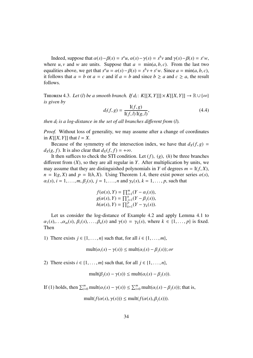Indeed, suppose that  $\alpha(s) - \beta(s) = s^a u$ ,  $\alpha(s) - \gamma(s) = s^b v$  and  $\gamma(s) - \beta(s) = s^c w$ , where *u*, *v* and *w* are units. Suppose that  $a = \min(a, b, c)$ . From the last two equalities above, we get that  $s^a u = \alpha(s) - \beta(s) = s^b v + s^c w$ . Since  $a = \min(a, b, c)$ , it follows that  $a = b$  or  $a = c$  and if  $a = b$  and since  $b \ge a$  and  $c \ge a$ , the result it follows that  $a = b$  or  $a = c$  and if  $a = b$  and since  $b \ge a$  and  $c \ge a$ , the result follows.

THEOREM 4.3. *Let* (*l*) *be a smooth branch. If*  $d_l: K[[X, Y]]] \times K[[X, Y]] \rightarrow \mathbb{R} \cup \{\infty\}$ *<br>is given by is given by*

$$
d_l(f, g) = \frac{I(f, g)}{I(f, l) I(g, l)},
$$
(4.4)

*then d<sup>l</sup> is a log-distance in the set of all branches di*ff*erent from* (*l*)*.*

*Proof.* Without loss of generality, we may assume after a change of coordinates in  $K[[X, Y]]$  that  $l = X$ .

Because of the symmetry of the intersection index, we have that  $d_X(f, g)$  =  $d_X(g, f)$ . It is also clear that  $d_X(f, f) = +\infty$ .

It then suffices to check the STI condition. Let  $(f)$ ,  $(g)$ ,  $(h)$  be three branches different from (*X*), so they are all regular in *Y*. After multiplication by units, we may assume that they are distinguished polynomials in *Y* of degrees  $m = I(f, X)$ ,  $n = I(g, X)$  and  $p = I(h, X)$ . Using Theorem 1.4, there exist power series  $\alpha(s)$ ,  $\alpha_i(s)$ ,  $i = 1, \ldots, m$ ,  $\beta_i(s)$ ,  $j = 1, \ldots, n$  and  $\gamma_k(s)$ ,  $k = 1, \ldots, p$ , such that

$$
f(\alpha(s), Y) = \prod_{i=1}^{m} (Y - \alpha_i(s)),
$$
  
 
$$
g(\alpha(s), Y) = \prod_{j=1}^{n} (Y - \beta_j(s)),
$$
  
 
$$
h(\alpha(s), Y) = \prod_{k=1}^{p} (Y - \gamma_k(s)).
$$

Let us consider the log-distance of Example 4.2 and apply Lemma 4.1 to  $\alpha_1(s), \ldots, \alpha_m(s), \beta_1(s), \ldots, \beta_n(s)$  and  $\gamma(s) = \gamma_k(s)$ , where  $k \in \{1, \ldots, p\}$  is fixed. Then

1) There exists  $j \in \{1, \ldots, n\}$  such that, for all  $i \in \{1, \ldots, m\}$ ,

 $mult(\alpha_i(s) - \gamma(s)) \leq mult(\alpha_i(s) - \beta_i(s)); or$ 

2) There exists  $i \in \{1, \ldots, m\}$  such that, for all  $j \in \{1, \ldots, n\}$ ,

$$
\text{mult}(\beta_j(s) - \gamma(s)) \le \text{mult}(\alpha_i(s) - \beta_j(s)).
$$

If (1) holds, then  $\sum_{i=0}^{m} \text{mult}(\alpha_i(s) - \gamma(s)) \leq \sum_{i=0}^{m} \text{mult}(\alpha_i(s) - \beta_j(s))$ ; that is,

$$
\text{mult}(f(\alpha(s), \gamma(s))) \le \text{mult}(f(\alpha(s), \beta_j(s))).
$$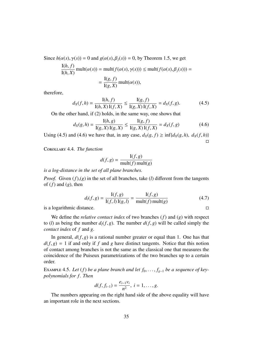Since  $h(\alpha(s), \gamma(s)) = 0$  and  $g(\alpha(s), \beta_i(s)) = 0$ , by Theorem 1.5, we get

$$
\frac{I(h, f)}{I(h, X)} \text{mult}(\alpha(s)) = \text{mult}(f(\alpha(s), \gamma(s))) \le \text{mult}(f(\alpha(s), \beta_j(s))) =
$$

$$
= \frac{I(g, f)}{I(g, X)} \text{mult}(\alpha(s)),
$$

therefore,

$$
d_X(f, h) = \frac{I(h, f)}{I(h, X) I(f, X)} \le \frac{I(g, f)}{I(g, X) I(f, X)} = d_X(f, g). \tag{4.5}
$$
  
On the other hand, if (2) holds, in the same way, one shows that

$$
d_X(g, h) = \frac{I(h, g)}{I(g, X) I(g, X)} \le \frac{I(g, f)}{I(g, X) I(f, X)} = d_X(f, g)
$$
(4.6)

Using (4.5) and (4.6) we have that, in any case,  $d_X(g, f) \ge \inf\{d_X(g, h), d_X(f, h)\}\$  $\Box$ 

Corollary 4.4. *The function*

$$
d(f, g) = \frac{\mathrm{I}(f, g)}{\mathrm{mult}(f) \mathrm{mult}(g)}
$$

*is a log-distance in the set of all plane branches.*

*Proof.* Given  $(f)(g)$  in the set of all branches, take (*l*) different from the tangents of  $(f)$  and  $(g)$ , then

$$
d_l(f, g) = \frac{\mathcal{I}(f, g)}{\mathcal{I}(f, l)\mathcal{I}(g, l)} = \frac{\mathcal{I}(f, g)}{\text{mult}(f)\,\text{mult}(g)}\tag{4.7}
$$

is a logarithmic distance.

We define the *relative contact index* of two branches (*f*) and (*g*) with respect to (*l*) as being the number  $d_l(f, g)$ . The number  $d(f, g)$  will be called simply the *contact index* of *f* and *g*.

In general,  $d(f, g)$  is a rational number greater or equal than 1. One has that  $d(f, g) = 1$  if and only if *f* and *g* have distinct tangents. Notice that this notion of contact among branches is not the same as the classical one that measures the coincidence of the Puiseux parametrizations of the two branches up to a certain order.

EXAMPLE 4.5. Let  $(f)$  be a plane branch and let  $f_0, \ldots, f_{g-1}$  be a sequence of key*polynomials for f . Then*

$$
d(f, f_{i-1}) = \frac{e_{i-1}v_i}{n^2}, i = 1, \ldots, g.
$$

The numbers appearing on the right hand side of the above equality will have an important role in the next sections.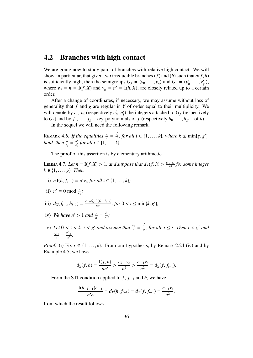#### 4.2 Branches with high contact

We are going now to study pairs of branches with relative high contact. We will show, in particular, that given two irreducible branches (*f*) and (*h*) such that  $d(f, h)$ is sufficiently high, then the semigroups  $G_f = \langle v_0, \ldots, v_g \rangle$  and  $G_h = \langle v'_0 \rangle$ <br>where  $v_0 = n - \mathrm{I}(f, X)$  and  $v'_0 = n' - \mathrm{I}(h, X)$  are closely related up to  $v'_0, \ldots, v'_g$  $'_{g'}\rangle,$ where  $v_0 = n = I(f, X)$  and  $v'_0 = n' = I(h, X)$ , are closely related up to a certain order order.

After a change of coordinates, if necessary, we may assume without loss of generality that *f* and *g* are regular in *Y* of order equal to their multiplicity. We will denote by  $e_i$ ,  $n_i$  (respectively  $e'_i$ <br>to  $G_i$ ) and by  $f_i$ ,  $f_i$ , key-polyn  $\sum_{i}^{\prime}$ ,  $n_i^{\prime}$  $'_{i}$ ) the integers attached to  $G_{f}$  (respectively to  $G_h$ ) and by  $f_0, \ldots, f_{g-1}$  key-polynomials of  $f$  (respectively  $h_0, \ldots, h_{g'-1}$  of  $h$ ).<br>In the sequel we will need the following remark

In the sequel we will need the following remark.

REMARK 4.6. *If the equalities*  $\frac{v_i}{n} = \frac{v'_i}{n'}$ , for all  $i \in \{1, \ldots, k\}$ , where  $k \le \min\{g, g'\}$ ,<br>hold than  $\frac{n}{n} = \frac{n'}{n}$  for all  $i \in \{1, \ldots, k\}$ *hold, then*  $\frac{n}{e_i} = \frac{n'}{e'_i}$  $\frac{n'}{e'_i}$  for all  $i \in \{1, \ldots, k\}.$ 

The proof of this assertion is by elementary arithmetic.

LEMMA 4.7. Let  $n = I(f, X) > 1$ , and suppose that  $d_X(f, h) > \frac{e_{k-1}v_k}{n^2}$ *n* 2 *for some integer*  $k \in \{1, \ldots, g\}$ *. Then* 

- i)  $n \text{ I}(h, f_{i-1}) = n'v_i$ , for all  $i \in \{1, ..., k\}$ ;
- ii)  $n' \equiv 0 \mod \frac{n}{e_k}$ ;
- iii)  $d_X(f_{i-1}, h_{i-1}) = \frac{e_{i-1}e'_{i-1} \cdot 1(f_{i-1}, h_{i-1})}{nn'}$ , for 0 < *i* ≤ min{*k*, *g*<sup>'</sup>};
- iv) *We have n'* > 1 *and*  $\frac{v_1}{n} = \frac{v'_1}{n'}$ ;
- v) Let  $0 < i < k$ ,  $i < g'$  and assume that  $\frac{v_j}{n} = \frac{v'_j}{n'}$ , for all  $j \le i$ . Then  $i < g'$  and *vi*+<sup>1</sup>  $\frac{v'_{i+1}}{n} = \frac{v'_{i+1}}{n'}$ .

*Proof.* (i) Fix  $i \in \{1, \ldots, k\}$ . From our hypothesis, by Remark 2.24 (iv) and by Example 4.5, we have

$$
d_X(f, h) = \frac{I(f, h)}{nn'} > \frac{e_{k-1}v_k}{n^2} > \frac{e_{i-1}v_i}{n^2} = d_X(f, f_{i-1}).
$$

From the STI condition applied to  $f$ ,  $f_{i-1}$  and  $h$ , we have

$$
\frac{\mathrm{I}(h, f_{i-1})e_{i-1}}{n'n} = d_X(h, f_{i-1}) = d_X(f, f_{i-1}) = \frac{e_{i-1}v_i}{n^2},
$$

from which the result follows.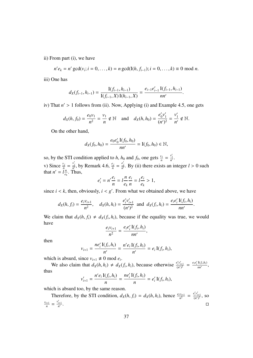ii) From part (i), we have

$$
n'e_k = n' \gcd(v_i; i = 0, ..., k) = n \gcd(I(h, f_{i-1}); i = 0, ..., k) \equiv 0 \mod n.
$$

iii) One has

$$
d_X(f_{i-1}, h_{i-1}) = \frac{\mathrm{I}(f_{i-1}, h_{i-1})}{\mathrm{I}(f_{i-1}, X) \mathrm{I}(h_{i-1}, X)} = \frac{e_{i-1}e'_{i-1} \mathrm{I}(f_{i-1}, h_{i-1})}{nn'}.
$$

iv) That  $n' > 1$  follows from (ii). Now, Applying (i) and Example 4.5, one gets

$$
d_X(h, f_0) = \frac{e_0 v_1}{n^2} = \frac{v_1}{n} \notin \mathbb{N}
$$
 and  $d_X(h, h_0) = \frac{e'_0 v'_1}{(n')^2} = \frac{v'_1}{n'} \notin \mathbb{N}$ .

On the other hand,

$$
d_X(f_0, h_0) = \frac{e_0 e'_0 I(f_0, h_0)}{nn'} = I(f_0, h_0) \in \mathbb{N},
$$

so, by the STI condition applied to *h*, *h*<sub>0</sub> and *f*<sub>0</sub>, one gets  $\frac{v_1}{n} = \frac{v'_1}{n'}$ . *n n* v) Since  $\frac{v_j}{n} = \frac{v'_j}{n'}$ , by Remark 4.6,  $\frac{e_j}{n} = \frac{e'_j}{n'}$ . By (ii) there exists an integer  $l > 0$  such that  $n' = l\frac{n}{e'}$ . Thus,  $\frac{n}{e_k}$ . Thus,

$$
e'_i = n' \frac{e_i}{n} = l \frac{n}{e_k} \frac{e_i}{n} = l \frac{e_i}{e_k} > 1,
$$

since  $i < k$ , then, obviously,  $i < g'$ . From what we obtained above, we have

$$
d_X(h, f_i) = \frac{e_i v_{i+1}}{n^2}
$$
,  $d_X(h, h_i) = \frac{e'_i v'_{i+1}}{(n')^2}$  and  $d_X(f_i, h_i) = \frac{e_i e'_i I(f_i, h_i)}{nn'}$ .

We claim that  $d_X(h, f_i) \neq d_X(f_i, h_i)$ , because if the equality was true, we would have

$$
\frac{e_i v_{i+1}}{n^2} = \frac{e_i e'_i \operatorname{I}(f_i, h_i)}{nn'}
$$

,

then

$$
v_{i+1} = \frac{ne'_i \, \mathrm{I}(f_i, h_i)}{n'} = \frac{n'e_i \, \mathrm{I}(f_i, h_i)}{n'} = e_i \, \mathrm{I}(f_i, h_i),
$$

which is absurd, since  $v_{i+1} \neq 0 \text{ mod } e_i$ .

We also claim that  $d_X(h, h_i) \neq d_X(f_i, h_i)$ , because otherwise  $\frac{e'_i v'_{i+1}}{(n')^2} = \frac{e_i e'_i I(f_i, h_i)}{nn'}$ , thus

$$
v'_{i+1} = \frac{n' e_i I(f_i, h_i)}{n} = \frac{ne'_i I(f_i, h_i)}{n} = e'_i I(f_i, h_i),
$$

which is absurd too, by the same reason.

Therefore, by the STI condition,  $d_X(h, f_i) = d_X(h, h_i)$ , hence  $\frac{e_i v_{i+1}}{n^2} = \frac{e'_i v'_{i+1}}{(n')^2}$ , so *vi*+<sup>1</sup>  $\frac{v'_{i+1}}{n} = \frac{v'_{i+1}}{n'}$ .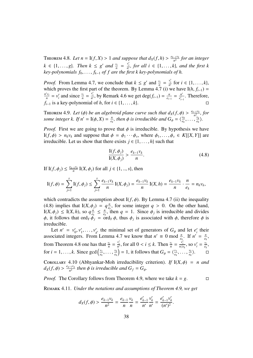THEOREM 4.8. Let  $n = I(f, X) > 1$  and suppose that  $d_X(f, h) > \frac{e_{k-1}v_k}{n^2}$ *n* 2 *for an integer k* ∈ {1, . . . , *g*}*.* Then  $k ≤ g'$  and  $\frac{v_i}{n} = \frac{v'_i}{n'}$ , for all  $i ∈ \{1, ..., k\}$ *, and the first k*<br>key-polynomials f<sub>o</sub> f<sub>r</sub> is of f are the first k key-polynomials of h *key-polynomials*  $f_0, \ldots, f_{k-1}$  *of f are the first k key-polynomials of h.* 

*Proof.* From Lemma 4.7, we conclude that  $k \leq g'$  and  $\frac{v_i}{n} = \frac{v'_i}{n'}$  for  $i \in \{1, ..., k\}$ , which proves the first part of the theorem. By Lemma 4.7 (i) we have  $I(h, f, \cdot)$ which proves the first part of the theorem. By Lemma 4.7 (i) we have  $I(h, f_{i-1}) =$ <br> $n'v_i = v'$  and since  $v_i = v'_i$ , by Bernsels 4.6 we get dog(f) =  $n = n'$ . Therefore,  $n'$ <sup>*v<sub>i</sub>*</sup>  $\frac{v_i}{n} = v'_i$ *i*<sub>i</sub> and since  $\frac{v_i}{n} = \frac{v'_i}{n'}$ , by Remark 4.6 we get deg( $f_{i-1}$ ) =  $\frac{n}{e_i}$  $\frac{n}{e_{i-1}} = \frac{n'}{e'_{i-1}}$  $\frac{n'}{e_{i-1}'}$ . Therefore, *f*<sub>*i*−1</sub> is a key-polynomial of *h*, for  $i \in \{1, \ldots, k\}$ .

**THEOREM 4.9.** *Let* ( $\phi$ ) *be an algebroid plane curve such that*  $d_X(f, \phi) > \frac{e_{k-1}v_k}{n^2}$ <br>some integer k, If  $n' = I(\phi, X) = \frac{n}{n}$ , then  $\phi$  is irreducible and  $G_x = \frac{\psi_0}{\phi}$ ,  $\frac{-1\mathcal{V}_k}{n^2}$ , for *some integer k. If*  $n' = I(\phi, X) = \frac{n}{e_k}$  $\frac{n}{e_k}$ , then  $\phi$  is irreducible and  $G_{\phi} = \langle \frac{v_0}{e_k} \rangle$  $e_k$ <sup>, ...</sup>, *vk*  $\frac{v_k}{e_k}$ .

*Proof.* First we are going to prove that  $\phi$  is irreducible. By hypothesis we have I(*f*,  $\phi$ ) >  $n_k v_k$  and suppose that  $\phi = \phi_1 \cdots \phi_s$ , where  $\phi_1, \dots, \phi_s \in K[[X, Y]]$  are irreducible Let us show that there exists  $i \in \{1, \dots, k\}$  such that irreducible. Let us show that there exists  $j \in \{1, \ldots, h\}$  such that

$$
\frac{I(f,\phi_j)}{I(X,\phi_j)} > \frac{e_{k-1}v_k}{n}.\tag{4.8}
$$

If I(*f*,  $\phi_j$ )  $\leq \frac{e_{k-1}v_k}{n}$  $\frac{1}{n}$  I(*X*,  $\phi_j$ ) for all  $j \in \{1, ..., s\}$ , then

$$
I(f, \phi) = \sum_{j=1}^{s} I(f, \phi_j) \leq \sum_{j=1}^{s} \frac{e_{k-1}v_k}{n} I(X, \phi_j) = \frac{e_{k-1}v_k}{n} I(X, h) = \frac{e_{k-1}v_k}{n} \cdot \frac{n}{e_k} = n_kv_k,
$$

which contradicts the assumption about  $I(f, \phi)$ . By Lemma 4.7 (ii) the inequality (4.8) implies that  $I(X, \phi_j) = q \frac{n}{e_j}$ <br> $I(X, \phi_j) \leq I(X, h)$  so  $q \frac{n}{e_j} \leq \frac{n}{e_j}$  $\frac{n}{e_k}$ , for some integer *q* > 0. On the other hand,  $I(X, \phi_j) \leq I(X, h)$ , so  $q \frac{n}{e_k}$ <br>*φ* it follows that order *φ*  $\frac{n}{e_k} \leq \frac{n}{e_k}$  $\frac{n}{e_k}$ , then *q* = 1. Since  $\phi_j$  is irreducible and divides<br>ord<sub>u</sub>  $\phi$ , thus  $\phi_k$  is associated with  $\phi_k$  therefore  $\phi_k$  is  $\phi$ , it follows that ord<sub>*Y*</sub>  $\dot{\phi}_j = \text{ord}_Y \phi$ , thus  $\phi_j$  is associated with  $\phi$ , therefore  $\phi$  is irreducible irreducible.

Let  $n' = v'_0, v'_1, \ldots, v'_g$ , the minimal set of generators of  $G_{\phi}$  and let  $e'_i$  their Let  $n' = v'_0, v'_1, \ldots, v'_{g'}$  the minimal set of generators of  $G_{\phi}$  and let  $e'_i$  their associated integers. From Lemma 4.7 we know that  $n' \equiv 0 \mod \frac{n}{e_k}$ . If  $n' = \frac{n}{e_k}$  $\frac{n}{e_k}$ , from Theorem 4.8 one has that  $\frac{v_i}{n} = \frac{v_i'}{n'}$ , for all  $0 < i \le k$ . Then  $\frac{v_i}{n} = \frac{\hat{v}_i'}{n/e_k}$ , so  $v_i' = \frac{\hat{v}_i}{e_k}$  $\frac{v_i}{e_k}$ , for  $i = 1, ..., k$ . Since gcd  $\left(\frac{v_1}{e_k}\right)$  $e_k$ <sup>, ...</sup>, *vk*  $\left(\frac{v_k}{e_k}\right) = 1$ , it follows that  $G_\phi = \langle \frac{v_1}{e_k} \rangle$  $e_k$ <sup>, ...</sup>, *vk ek*  $\rangle.$   $\Box$ 

COROLLARY 4.10 (Abhyankar-Moh irreducibility criterion). *If*  $I(X, \phi) = n$  and  $d_X(f, \phi) > \frac{e_{g-1}v_g}{n^2}$  $\frac{f_1 V_g}{n^2}$  then  $\phi$  is irreducible and  $G_f = G_{\phi}$ .

*Proof.* The Corollary follows from Theorem 4.9, where we take  $k = g$ .

Remark 4.11. *Under the notations and assumptions of Theorem 4.9, we get*

$$
d_X(f, \phi) > \frac{e_{k-1}v_k}{n^2} = \frac{e_{k-1}}{n} \frac{v_k}{n} = \frac{e'_{k-1}}{n'} \frac{v'_k}{n'} = \frac{e'_{k-1}v'_k}{(n')^2}
$$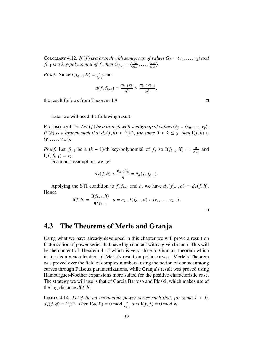COROLLARY 4.12. *If* (*f*) *is a branch with semigroup of values*  $G_f = \langle v_0, \ldots, v_g \rangle$  *and*  $f_{k-1}$  *is a key-polynomial of f, then*  $G_{f_{k-1}} = \langle \frac{v_0}{e_{k-1}} \rangle$  $e_{k-1}$ <sup>, ...</sup>, *vk*−<sup>1</sup>  $\frac{v_{k-1}}{e_{k-1}}$ 

*Proof.* Since  $I(f_{k-1}, X) = \frac{n}{e_{k-1}}$  $\frac{n}{e_{k-1}}$  and

$$
d(f, f_{k-1}) = \frac{e_{k-1}v_k}{n^2} > \frac{e_{k-2}v_{k-1}}{n^2},
$$

the result follows from Theorem 4.9

.

Later we will need the following result.

Proposition 4.13. Let (*f*) *be a branch with semigroup of values*  $G_f = \langle v_0, \ldots, v_g \rangle$ . *If* (*h*) *is a branch such that*  $d_X(f, h) < \frac{e_{k-1}v_k}{n^2}$  $\frac{1}{n^2}$ , for some 0 < *k* ≤ *g*, then I(*f*, *h*) ∈  $\langle v_0, \ldots, v_{k-1} \rangle$ .

*Proof.* Let  $f_{k-1}$  be a  $(k-1)$ -th key-polynomial of  $f$ , so  $I(f_{k-1}, X) = \frac{n}{e_k}$ <br>*I*(*f*  $f_{k-1}$ ) = *v*.  $\frac{n}{e_{k-1}}$  and  $I(f, f_{k-1}) = v_k$ .<br>From our *s* 

From our assumption, we get

$$
d_X(f, h) < \frac{e_{k-1}v_k}{n} = d_X(f, f_{k-1}).
$$

Applying the STI condition to *f*,  $f_{k-1}$  and *h*, we have  $d_X(f_{k-1}, h) = d_X(f, h)$ . Hence

$$
I(f,h) = \frac{I(f_{k-1},h)}{n/e_{k-1}} \cdot n = e_{k-1}I(f_{k-1},h) \in \langle v_0,\ldots,v_{k-1} \rangle.
$$

 $\Box$ 

### 4.3 The Theorems of Merle and Granja

Using what we have already developed in this chapter we will prove a result on factorization of power series that have high contact with a given branch. This will be the content of Theorem 4.15 which is very close to Granja's theorem which in turn is a generalization of Merle's result on polar curves. Merle's Theorem was proved over the field of complex numbers, using the notion of contact among curves through Puiseux parametrizations, while Granja's result was proved using Hamburguer-Noether expansions more suited for the positive characteristic case. The strategy we will use is that of Garcia Barroso and Ploski, which makes use of the log-distance  $d(f, h)$ .

LEMMA 4.14. Let  $\phi$  be an irreducible power series such that, for some  $k > 0$ ,  $d_X(f, \phi) = \frac{e_{k-1}v_k}{n^2}$ *n* 2 *. Then*  $I(\phi, X) \equiv 0 \text{ mod } \frac{n}{e_{k-1}}$  *and*  $I(f, \phi) \equiv 0 \text{ mod } v_k$ *.*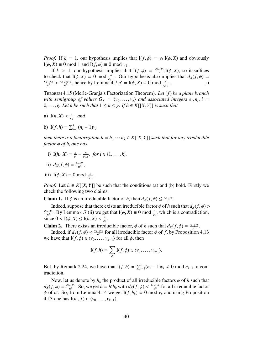*Proof.* If  $k = 1$ , our hypothesis implies that  $I(f, \phi) = v_1 I(\phi, X)$  and obviously  $I(\phi, X) \equiv 0 \text{ mod } 1 \text{ and } I(f, \phi) \equiv 0 \text{ mod } v_1.$ 

If  $k > 1$ , our hypothesis implies that  $I(f, \phi) = \frac{e_{k-1}v_k}{n}$ <br>theck that  $I(\phi, X) = 0 \text{ mod } \frac{n}{n}$ . Our hypothesis also in  $\prod_{n=1}^{N} I(\phi, X)$ , so it suffices to check that  $I(\phi, X) \equiv 0 \text{ mod } \frac{n}{e_{k-1}}$ . Our hypothesis also implies that  $d_X(f, \phi) = \frac{e_{k-1}v_k}{e_{k-2}v_{k-1}}$  hence by Lemma *A* 7 *n'* –  $I(\phi, X) = 0 \text{ mod } \frac{n}{e_{k-1}}$  $n^2$ *ek*−2*vk*−<sup>1</sup>  $\frac{2^{v_{k-1}}}{n^2}$ , hence by Lemma 4.7 *n'* = I( $\phi$ , *X*) ≡ 0 mod  $\frac{n}{e_{k-1}}$ .

Theorem 4.15 (Merle-Granja's Factorization Theorem). *Let* (*f*) *be a plane branch with semigroup of values*  $G_f = \langle v_0, \ldots, v_g \rangle$  *and associated integers e<sub>i</sub>, n<sub>i</sub>, i* = 0  $\sigma$  *Let k* be such that  $1 \le k \le \sigma$  *If h*  $\in$  *K*IIX *Y*II is such that 0, ..., *g.* Let k be such that  $1 \leq k \leq g$ . If  $h \in K[[X, Y]]$  is such that

- a)  $I(h, X) < \frac{n}{e_h}$  $\frac{n}{e_k}$ *, and*
- b) I(*f*, *h*) =  $\sum_{i=1}^{k} (n_i 1)v_i$ ,

*then there is a factorization*  $h = h_1 \cdots h_k \in K[[X, Y]]$  *such that for any irreducible factor* <sup>φ</sup> *of h<sup>i</sup> one has*

i)  $I(h_i, X) = \frac{n}{e_i}$  $\frac{n}{e_i} - \frac{n}{e_i}$  $\frac{n}{e_{i-1}}$ *, for i* ∈ {1, . . . *, k*}*,* 

ii) 
$$
d_X(f, \phi) = \frac{e_{i-1}v_i}{n^2}
$$
,

iii) I( $\phi$ , X)  $\equiv$  0 mod  $\frac{n}{e_{i-1}}$ .

*Proof.* Let  $h \in K[[X, Y]]$  be such that the conditions (a) and (b) hold. Firstly we check the following two claims:

**Claim 1.** If  $\phi$  is an irreducible factor of *h*, then  $d_X(f, \phi) \leq \frac{e_{k-1}v_k}{n^2}$  $\frac{-1 \nu_k}{n^2}$ .

Indeed, suppose that there exists an irreducible factor  $\phi$  of *h* such that  $d_X(f, \phi)$ *ek*−1*v<sup>k</sup> n* 2 . By Lemma 4.7 (ii) we get that I(*ϕ*, *X*) ≡ 0 mod  $\frac{n}{e_k}$ , which is a contradiction,  $\lambda$  0 < I(*A X*) < I(*h X*) <  $\frac{n}{e_k}$ since  $0 < I(\phi, X) \leq I(h, X) < \frac{n}{e_h}$  $\frac{n}{e_k}$ .

**Claim 2.** There exists an irreducible factor,  $\phi$  of *h* such that  $d_X(f, \phi) = \frac{e_{k-1}v_k}{n^2}$ <br>Indeed if  $d_Y(f, \phi) \le \frac{e_{k-1}v_k}{n^2}$  for all irreducible factor  $\phi$  of *f* by Proposition  $\frac{-1 \nu_k}{n^2}$ .

Indeed, if  $d_X(f, \phi) < \frac{e_{k-1}v_k}{n^2}$ <br>have that  $I(f, \phi) \in \{v_k\}$ <sup>-1Vk</sup> for all irreducible factor  $\phi$  of *f*, by Proposition 4.13 we have that  $I(f, \phi) \in \langle v_0, \ldots, v_{k-1} \rangle$  for all  $\phi$ , then

$$
I(f,h)=\sum_{\phi}I(f,\phi)\in \langle v_0,\ldots,v_{k-1}\rangle.
$$

But, by Remark 2.24, we have that  $I(f, h) = \sum_{i=1}^{k} (n_i - 1)v_i \neq 0 \text{ mod } e_{k-1}$ , a contradiction tradiction.

Now, let us denote by  $h_k$  the product of all irreducible factors  $\phi$  of *h* such that  $f(\phi) = \frac{e_{k-1}v_k}{\phi}$ . So, we get  $h = h'h$ , with  $d_V(f, \psi) \le \frac{e_{k-1}v_k}{\phi}$  for all irreducible factors  $d_X(f, \phi) = \frac{e_{k-1}v_k}{n^2}$ <br>*d*<sub>k</sub> of *h*<sup>*l*</sup> So freq  $\frac{e^{-(1-v_k)}}{n^2}$ . So, we get *h* = *h'h<sub>k</sub>* with  $d_X(f, \psi) < \frac{e_{k-1}v_k}{n^2}$ <br>from I emma 4.14 we get I(*f h*<sub>1</sub>) = 0 mod  $\frac{-1}{n^2}$  for all irreducible factor  $\psi$  of *h*'. So, from Lemma 4.14 we get I(*f*, *h<sub>k</sub>*)  $\equiv$  0 mod  $v_k$  and using Proposition 4.13 one has I(*h*' *f*)  $\in$  (*v*<sub>0</sub>  $\equiv$  *N<sub>i</sub>*  $\land$ ) 4.13 one has  $I(h', f) \in \langle v_0, ..., v_{k-1} \rangle$ .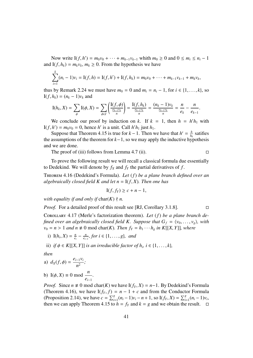Now write  $I(f, h') = m_0v_0 + \cdots + m_{k-1}v_{k-1}$  whith  $m_0 \ge 0$  and  $0 \le m_i \le n_i - 1$ <br> $I(f, h_i) = m_1v_i$ ,  $m_i > 0$ . From the hypothesis we have and I(*f*,  $h_k$ ) =  $m_k v_k$ ,  $m_k \ge 0$ . From the hypothesis we have

$$
\sum_{i=1}^k (n_i-1)v_i = \mathbf{I}(f,h) = \mathbf{I}(f,h') + \mathbf{I}(f,h_k) = m_0v_0 + \cdots + m_{k-1}v_{k-1} + m_kv_k,
$$

thus by Remark 2.24 we must have  $m_0 = 0$  and  $m_i = n_i - 1$ , for  $i \in \{1, \ldots, k\}$ , so  $I(f, h_k) = (n_k - 1)v_k$  and

$$
I(h_k, X) = \sum_{\phi} I(\phi, X) = \sum_{\phi \in I} \left( \frac{I(f, \phi)}{\frac{e_{k-1}v_k}{n}} \right) = \frac{I(f, h_k)}{\frac{e_{k-1}v_k}{n}} = \frac{(n_k - 1)v_k}{\frac{e_{k-1}v_k}{n}} = \frac{n}{e_k} - \frac{n}{e_{k-1}}.
$$

We conclude our proof by induction on *k*. If  $k = 1$ , then  $h = h'h_1$  with I(*f*, *h*') =  $m_0v_0 = 0$ , hence *h*' is a unit. Call *h*' $h_1$  just  $h_1$ .<br>Suppose that Theorem 4.15 is true for  $k - 1$ . Then w

Suppose that Theorem 4.15 is true for  $k-1$ . Then we have that  $h' = \frac{h}{h}$  $\frac{h}{h_k}$  satifies the assumptions of the theorem for *k*−1, so we may apply the inductive hypothesis and we are done.

The proof of (iii) follows from Lemma 4.7 (ii).  $\Box$ 

To prove the following result we will recall a classical formula due essentially to Dedekind. We will denote by  $f_X$  and  $f_Y$  the partial derivatives of  $f$ .

Theorem 4.16 (Dedekind's Formula). *Let* (*f*) *be a plane branch defined over an algebraically closed field K and let*  $n = I(f, X)$ *. Then one has* 

$$
I(f, f_Y) \ge c + n - 1,
$$

*with equality if and only if* char( $K$ )  $\nmid n$ .

*Proof.* For a detailed proof of this result see [RJ, Corollary 3.1.8]. □

Corollary 4.17 (Merle's factorization theorem). *Let* (*f*) *be a plane branch defined over an algebraically closed field K. Suppose that*  $G_f = \langle v_0, \ldots, v_g \rangle$ , with  $v_0 = n > 1$  *and*  $n \neq 0$  mod char(*K*)*. Then*  $f_Y = h_1 \cdots h_g$  *in K*[[*X, Y*]]*, where* 

i)  $I(h_i, X) = \frac{n}{e_i}$  $\frac{n}{e_i} - \frac{n}{e_i}$ *ei*−<sup>1</sup> *, for i* ∈ {1, . . . , *<sup>g</sup>*}*, and*

*.*

ii) *if*  $\phi \in K[[X, Y]]$  *is an irreducible factor of h<sub><i>i*</sub>,  $i \in \{1, \ldots, k\}$ ,

*then*

a) 
$$
d_X(f, \phi) = \frac{e_{i-1}v_i}{n^2}
$$
;

b) I( $\phi$ , *X*) ≡ 0 mod  $\frac{n}{e_{i-1}}$ 

*Proof.* Since  $n \neq 0$  mod char(*K*) we have  $I(f_Y, X) = n-1$ . By Dedekind's Formula (Theorem 4.16), we have  $I(f_Y, f) = n - 1 + c$  and from the Conductor Formula (Proposition 2.14), we have  $c = \sum_{i=1}^{g} (n_i - 1)v_i - n + 1$ , so  $I(f_Y, X) = \sum_{i=1}^{g} (n_i - 1)v_i$ , then we can apply Theorem 4.15 to  $h = f_Y$  and  $k = g$  and we obtain the result then we can apply Theorem 4.15 to  $h = f_Y$  and  $k = g$  and we obtain the result.  $\Box$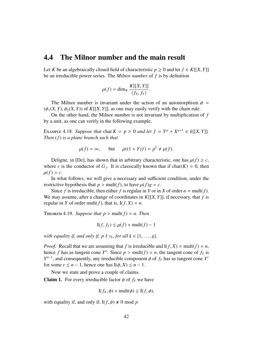#### 4.4 The Milnor number and the main result

Let *K* be an algebraically closed field of characteristic  $p \ge 0$  and let  $f \in K[[X, Y]]$ be an irreducible power series. The *Milnor number* of *f* is by definition

$$
\mu(f) = \dim_K \frac{K[[X, Y]]}{\langle f_X, f_Y \rangle}.
$$

The Milnor number is invariant under the action of an automorphism  $\phi$  =  $(\phi_1(X, Y), \phi_2(X, Y))$  of  $K[[X, Y]],$  as one may easily verify with the chain rule.

On the other hand, the Milnor number is not invariant by multiplication of *f* by a unit, as one can verify in the following example.

EXAMPLE 4.18. *Suppose that* char  $K = p > 0$  *and let*  $f = Y^p + X^{p+1} \in k[[X, Y]].$ <br>*Then*  $(f)$  is a plane branch such that *Then* (*f*) *is a plane branch such that*

$$
\mu(f) = \infty
$$
, but  $\mu((1 + Y)f) = p^2 \neq \mu(f)$ .

Deligne, in [De], has shown that in arbitrary characteristic, one has  $\mu(f) \geq c$ , where *c* is the conductor of  $G_f$ . It is classically known that if char(*K*) = 0, then  $\mu(f) = c$ .

In what follows, we will give a necessary and sufficient condition, under the restrictive hypothesis that  $p > \text{mult}(f)$ , to have  $\mu(f)g = c$ .

Since *f* is irreducible, then either *f* is regular in *Y* or in *X* of order  $n = \text{mult}(f)$ . We may assume, after a change of coordinates in  $K[[X, Y]]$ , if necessary, that f is regular in *Y* of order mult(*f*), that is,  $I(f, X) = n$ .

THEOREM 4.19. *Suppose that*  $p > \text{mult}(f) = n$ . *Then* 

$$
I(f, f_Y) \le \mu(f) + \text{mult}(f) - 1
$$

*with equality if, and only if, p*  $\nmid v_k$ *, for all*  $k \in \{1, \ldots, g\}$ *.* 

*Proof.* Recall that we are assuming that *f* is irreducible and  $I(f, X) = mult(f) = n$ , hence *f* has as tangent cone *Y<sup>n</sup>*. Since  $p > \text{mult}(f) = n$ , the tangent cone of  $f_Y$  is  $Y^{n-1}$  and consequently any irreducible component  $\phi$  of  $f_Y$  has as tangent cone *Y<sup>r</sup> Y*<sup>*n*−1</sup>, and consequently, any irreducible component  $\phi$  of  $f_Y$  has as tangent cone *Y*<sup>*r*</sup> for some  $r \le n - 1$  bence one has  $I(\phi, Y) \le n - 1$ for some  $r \leq n - 1$ , hence one has  $I(\phi, X) \leq n - 1$ .

Now we state and prove a couple of claims.

**Claim 1.** For every irreducible factor  $\phi$  of  $f_Y$  we have

$$
I(f_X, \phi) + mult(\phi) \ge I(f, \phi),
$$

with equality if, and only if,  $I(f, \phi) \neq 0 \text{ mod } p$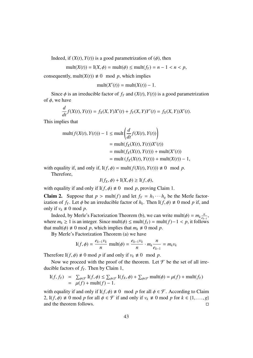Indeed, if  $(X(t), Y(t))$  is a good parametrization of  $(\phi)$ , then

$$
\text{mult}(X(t)) = \text{I}(X, \phi) = \text{mult}(\phi) \le \text{mult}(f_Y) = n - 1 < n < p,
$$

consequently, mult( $X(t)$ )  $\neq 0$  mod *p*, which implies

$$
\text{mult}(X'(t)) = \text{mult}(X(t)) - 1.
$$

Since  $\phi$  is an irreducible factor of  $f_Y$  and  $(X(t), Y(t))$  is a good parametrization of  $\phi$ , we have

$$
\frac{d}{dt}f(X(t), Y(t)) = f_X(X, Y)X'(t) + f_Y(X, Y)Y'(t) = f_X(X, Y)X'(t).
$$

This implies that

$$
\begin{aligned} \text{mult}(f(X(t), Y(t))) - 1 &\leq \text{mult}\left(\frac{d}{dt}f(X(t), Y(t))\right) \\ &= \text{mult}(f_X(X(t), Y(t))X'(t)) \\ &= \text{mult}(f_X(X(t), Y(t))) + \text{mult}(X'(t)) \\ &= \text{mult}(f_X(X(t), Y(t))) + \text{mult}(X(t)) - 1, \end{aligned}
$$

with equality if, and only if,  $I(f, \phi) = \text{mult}(f(X(t), Y(t))) \neq 0 \mod p$ .

Therefore,

$$
I(f_X, \phi) + I(X, \phi) \ge I(f, \phi),
$$

with equality if and only if  $I(f, \phi) \neq 0 \mod p$ , proving Claim 1.

**Claim 2.** Suppose that  $p > \text{mult}(f)$  and let  $f_Y = h_1 \cdots h_g$  be the Merle factorization of  $f_Y$ . Let  $\phi$  be an irreducible factor of  $h_k$ . Then  $I(f, \phi) \neq 0$  mod *p* if, and only if  $v_k \neq 0$  mod *p* only if  $v_k \neq 0$  mod p.

Indeed, by Merle's Factorization Theorem (b), we can write mult( $\phi$ ) =  $m_k \frac{n}{e_k}$ <br>re  $m_k > 1$  is an integer. Since mult( $\phi$ ) < mult( $f_k$ ) = mult( $f_k$ ) = 1 < n it follows  $\frac{n}{e_{k-1}}$ where  $m_k$  ≥ 1 is an integer. Since mult( $\phi$ ) ≤ mult( $f_Y$ ) = mult( $f$ )−1 <  $p$ , it follows that mult( $\phi$ )  $\neq$  0 mod *p*, which implies that  $m_k \neq$  0 mod *p*.

By Merle's Factorization Theorem (a) we have

$$
I(f, \phi) = \frac{e_{k-1}v_k}{n} \text{ mult}(\phi) = \frac{e_{k-1}v_k}{n} \cdot m_k \frac{n}{e_{k-1}} = m_k v_k
$$

Therefore I(f,  $\phi$ )  $\neq$  0 mod *p* if and only if  $v_k \neq 0$  mod *p*.

Now we proceed with the proof of the theorem. Let  $\mathcal F$  be the set of all irreducible factors of *f<sup>Y</sup>* . Then by Claim 1,

$$
\begin{array}{rcl}\n\text{I}(f, f_Y) & = & \sum_{\phi \in \mathcal{F}} \text{I}(f, \phi) \leq \sum_{\phi \in \mathcal{F}} \text{I}(f_X, \phi) + \sum_{\phi \in \mathcal{F}} \text{mult}(\phi) = \mu(f) + \text{mult}(f_Y) \\
& = & \mu(f) + \text{mult}(f) - 1.\n\end{array}
$$

with equality if and only if I( $f, \phi$ )  $\neq 0$  mod p for all  $\phi \in \mathcal{F}$ . According to Claim 2, I(*f*,  $\phi$ )  $\neq$  0 mod *p* for all  $\phi \in \mathcal{F}$  if and only if  $v_k \neq 0$  mod *p* for  $k \in \{1, ..., g\}$  and the theorem follows. and the theorem follows.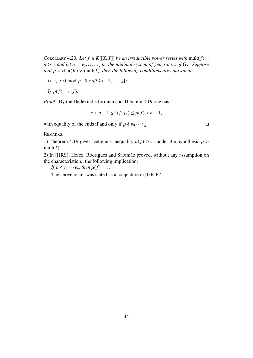COROLLARY 4.20. Let  $f \in K[[X, Y]]$  be an irreducible power series with mult( $f$ ) =  $n > 1$  *and let*  $n = v_0, \ldots, v_g$  *be the minimal system of generators of*  $G_f$ *. Suppose*<br>*that*  $n = \text{char}(K) > \text{mult}(f)$ , then the following conditions are equivalent: *that*  $p = \text{char}(K)$  >  $\text{mult}(f)$ *, then the following conditions are equivalent:* 

- i)  $v_k \neq 0 \text{ mod } p$ , for all  $k \in \{1, ..., g\}$ ;
- ii)  $\mu(f) = c(f)$ .

*Proof.* By the Dedekind's formula and Theorem 4.19 one has

$$
c + n - 1 \leq I(f, f_Y) \leq \mu(f) + n - 1,
$$

with equality of the ends if and only if  $p \nmid v_0 \cdots v_g$ .

Remarks.

1) Theorem 4.19 gives Deligne's inequality  $\mu(f) \geq c$ , under the hypothesis  $p >$ mult $(f)$ .

2) In [HRS], Hefez, Rodrigues and Salomão proved, without any assumption on the characteristic  $p$ , the following implication:

*If*  $p \nmid v_0 \cdots v_g$ *, then*  $\mu(f) = c$ .

The above result was stated as a conjecture in [GB-P2].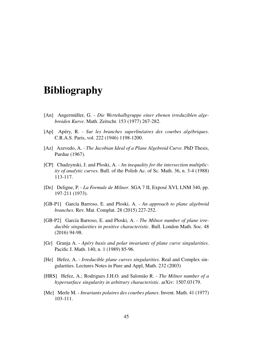# Bibliography

- [An] Angermüller, G. *Die Wertehalbgruppe einer ebenen irreduziblen algebroiden Kurve*. Math. Zeitschr. 153 (1977) 267-282.
- [Ap] Apéry, R. Sur les branches superlinéaires des courbes algébriques. C.R.A.S. Paris, vol. 222 (1946) 1198-1200.
- [Az] Azevedo, A. *The Jacobian Ideal of a Plane Algebroid Curve*. PhD Thesis, Purdue (1967).
- [CP] Chadzynski, J. and Ploski, A. *An inequality for the intersection multiplicity of analytic curves*. Bull. of the Polish Ac. of Sc. Math. 36, n. 3-4 (1988) 113-117.
- [De] Deligne, P. *La Formule de Milnor*. SGA 7 II, Expose XVI, LNM 340, pp. ´ 197-211 (1973).
- [GB-P1] García Barroso, E. and Ploski, A. *An approach to plane algebroid branches*. Rev. Mat. Complut. 28 (2015) 227-252.
- [GB-P2] García Barroso, E. and Ploski, A. *The Milnor number of plane irreducible singularities in positive characteristic*. Bull. London Math. Soc. 48 (2016) 94-98.
- [Gr] Granja A. *Ap´ery basis and polar invariants of plane curve singularities*. Pacific J. Math. 140, n. 1 (1989) 85-96.
- [He] Hefez, A. *Irreducible plane curves singularities*. Real and Complex singularities. Lectures Notes in Pure and Appl, Math. 232 (2003)
- [HRS] Hefez, A.; Rodrigues J.H.O. and Salomão R. *The Milnor number of a hypersurface singularity in arbitrary characteristic*. arXiv: 1507.03179.
- [Me] Merle M. *Invariants polaires des courbes planes*. Invent. Math. 41 (1977) 103-111.